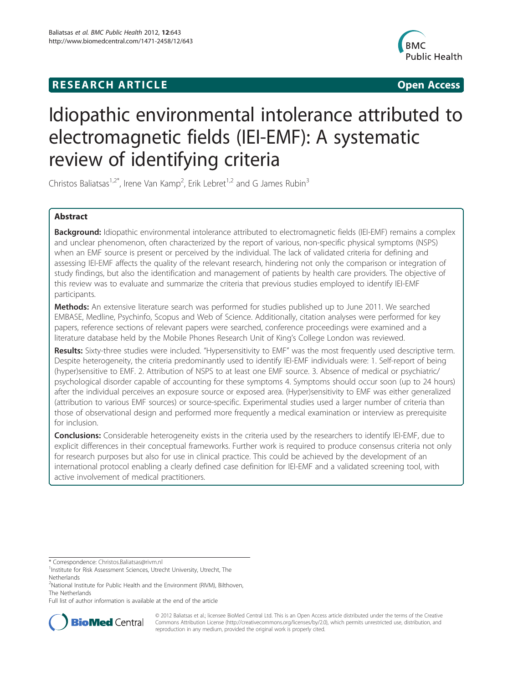### **RESEARCH ARTICLE Example 2018 12:00 Department of the Contract Open Access**



## Idiopathic environmental intolerance attributed to electromagnetic fields (IEI-EMF): A systematic review of identifying criteria

Christos Baliatsas<sup>1,2\*</sup>, Irene Van Kamp<sup>2</sup>, Erik Lebret<sup>1,2</sup> and G James Rubin<sup>3</sup>

#### Abstract

Background: Idiopathic environmental intolerance attributed to electromagnetic fields (IEI-EMF) remains a complex and unclear phenomenon, often characterized by the report of various, non-specific physical symptoms (NSPS) when an EMF source is present or perceived by the individual. The lack of validated criteria for defining and assessing IEI-EMF affects the quality of the relevant research, hindering not only the comparison or integration of study findings, but also the identification and management of patients by health care providers. The objective of this review was to evaluate and summarize the criteria that previous studies employed to identify IEI-EMF participants.

**Methods:** An extensive literature search was performed for studies published up to June 2011. We searched EMBASE, Medline, Psychinfo, Scopus and Web of Science. Additionally, citation analyses were performed for key papers, reference sections of relevant papers were searched, conference proceedings were examined and a literature database held by the Mobile Phones Research Unit of King's College London was reviewed.

Results: Sixty-three studies were included. "Hypersensitivity to EMF" was the most frequently used descriptive term. Despite heterogeneity, the criteria predominantly used to identify IEI-EMF individuals were: 1. Self-report of being (hyper)sensitive to EMF. 2. Attribution of NSPS to at least one EMF source. 3. Absence of medical or psychiatric/ psychological disorder capable of accounting for these symptoms 4. Symptoms should occur soon (up to 24 hours) after the individual perceives an exposure source or exposed area. (Hyper)sensitivity to EMF was either generalized (attribution to various EMF sources) or source-specific. Experimental studies used a larger number of criteria than those of observational design and performed more frequently a medical examination or interview as prerequisite for inclusion.

Conclusions: Considerable heterogeneity exists in the criteria used by the researchers to identify IEI-EMF, due to explicit differences in their conceptual frameworks. Further work is required to produce consensus criteria not only for research purposes but also for use in clinical practice. This could be achieved by the development of an international protocol enabling a clearly defined case definition for IEI-EMF and a validated screening tool, with active involvement of medical practitioners.

Full list of author information is available at the end of the article



© 2012 Baliatsas et al.; licensee BioMed Central Ltd. This is an Open Access article distributed under the terms of the Creative Commons Attribution License ([http://creativecommons.org/licenses/by/2.0\)](http://creativecommons.org/licenses/by/2.0), which permits unrestricted use, distribution, and reproduction in any medium, provided the original work is properly cited.

<sup>\*</sup> Correspondence: [Christos.Baliatsas@rivm.nl](mailto:Christos.Baliatsas@rivm.nl) <sup>1</sup>

<sup>&</sup>lt;sup>1</sup>Institute for Risk Assessment Sciences, Utrecht University, Utrecht, The **Netherlands** 

<sup>&</sup>lt;sup>2</sup>National Institute for Public Health and the Environment (RIVM), Bilthoven, The Netherlands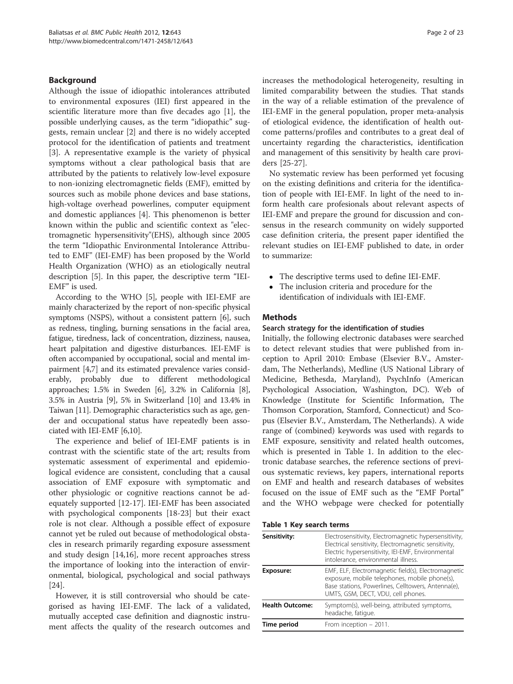#### Background

Although the issue of idiopathic intolerances attributed to environmental exposures (IEI) first appeared in the scientific literature more than five decades ago [\[1](#page-20-0)], the possible underlying causes, as the term "idiopathic" suggests, remain unclear [[2\]](#page-20-0) and there is no widely accepted protocol for the identification of patients and treatment [[3\]](#page-20-0). A representative example is the variety of physical symptoms without a clear pathological basis that are attributed by the patients to relatively low-level exposure to non-ionizing electromagnetic fields (EMF), emitted by sources such as mobile phone devices and base stations, high-voltage overhead powerlines, computer equipment and domestic appliances [\[4](#page-20-0)]. This phenomenon is better known within the public and scientific context as "electromagnetic hypersensitivity"(EHS), although since 2005 the term "Idiopathic Environmental Intolerance Attributed to EMF" (IEI-EMF) has been proposed by the World Health Organization (WHO) as an etiologically neutral description [\[5](#page-20-0)]. In this paper, the descriptive term "IEI-EMF" is used.

According to the WHO [\[5](#page-20-0)], people with IEI-EMF are mainly characterized by the report of non-specific physical symptoms (NSPS), without a consistent pattern [\[6](#page-20-0)], such as redness, tingling, burning sensations in the facial area, fatigue, tiredness, lack of concentration, dizziness, nausea, heart palpitation and digestive disturbances. IEI-EMF is often accompanied by occupational, social and mental impairment [\[4,7\]](#page-20-0) and its estimated prevalence varies considerably, probably due to different methodological approaches; 1.5% in Sweden [[6\]](#page-20-0), 3.2% in California [[8](#page-20-0)], 3.5% in Austria [[9](#page-20-0)], 5% in Switzerland [[10](#page-20-0)] and 13.4% in Taiwan [[11](#page-20-0)]. Demographic characteristics such as age, gender and occupational status have repeatedly been associated with IEI-EMF [\[6,10\]](#page-20-0).

The experience and belief of IEI-EMF patients is in contrast with the scientific state of the art; results from systematic assessment of experimental and epidemiological evidence are consistent, concluding that a causal association of EMF exposure with symptomatic and other physiologic or cognitive reactions cannot be adequately supported [[12](#page-20-0)-[17\]](#page-20-0). IEI-EMF has been associated with psychological components [\[18](#page-20-0)-[23](#page-20-0)] but their exact role is not clear. Although a possible effect of exposure cannot yet be ruled out because of methodological obstacles in research primarily regarding exposure assessment and study design [[14,16](#page-20-0)], more recent approaches stress the importance of looking into the interaction of environmental, biological, psychological and social pathways [[24\]](#page-20-0).

However, it is still controversial who should be categorised as having IEI-EMF. The lack of a validated, mutually accepted case definition and diagnostic instrument affects the quality of the research outcomes and increases the methodological heterogeneity, resulting in limited comparability between the studies. That stands in the way of a reliable estimation of the prevalence of IEI-EMF in the general population, proper meta-analysis of etiological evidence, the identification of health outcome patterns/profiles and contributes to a great deal of uncertainty regarding the characteristics, identification and management of this sensitivity by health care providers [\[25-27](#page-20-0)].

No systematic review has been performed yet focusing on the existing definitions and criteria for the identification of people with IEI-EMF. In light of the need to inform health care profesionals about relevant aspects of IEI-EMF and prepare the ground for discussion and consensus in the research community on widely supported case definition criteria, the present paper identified the relevant studies on IEI-EMF published to date, in order to summarize:

- The descriptive terms used to define IEI-EMF.<br>• The inclusion criteria and procedure for the
- The inclusion criteria and procedure for the identification of individuals with IEI-EMF.

#### Methods

#### Search strategy for the identification of studies

Initially, the following electronic databases were searched to detect relevant studies that were published from inception to April 2010: Embase (Elsevier B.V., Amsterdam, The Netherlands), Medline (US National Library of Medicine, Bethesda, Maryland), PsychInfo (American Psychological Association, Washington, DC). Web of Knowledge (Institute for Scientific Information, The Thomson Corporation, Stamford, Connecticut) and Scopus (Elsevier B.V., Amsterdam, The Netherlands). A wide range of (combined) keywords was used with regards to EMF exposure, sensitivity and related health outcomes, which is presented in Table 1. In addition to the electronic database searches, the reference sections of previous systematic reviews, key papers, international reports on EMF and health and research databases of websites focused on the issue of EMF such as the "EMF Portal" and the WHO webpage were checked for potentially

Table 1 Key search terms

| Sensitivity:           | Electrosensitivity, Electromagnetic hypersensitivity,<br>Electrical sensitivity, Electromagnetic sensitivity,<br>Electric hypersensitivity, IEI-EMF, Environmental<br>intolerance, environmental illness. |
|------------------------|-----------------------------------------------------------------------------------------------------------------------------------------------------------------------------------------------------------|
| Exposure:              | EMF, ELF, Electromagnetic field(s), Electromagnetic<br>exposure, mobile telephones, mobile phone(s),<br>Base stations, Powerlines, Celltowers, Antenna(e),<br>UMTS, GSM, DECT, VDU, cell phones.          |
| <b>Health Outcome:</b> | Symptom(s), well-being, attributed symptoms,<br>headache, fatique.                                                                                                                                        |
| Time period            | From inception - 2011.                                                                                                                                                                                    |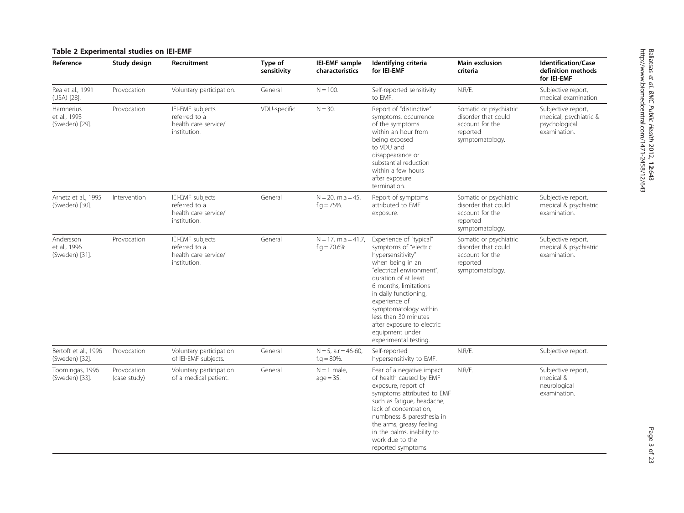#### <span id="page-2-0"></span>Table 2 Experimental studies on IEI-EMF

| Reference                                   | Study design                | Recruitment                                                               | Type of<br>sensitivity | IEI-EMF sample<br>characteristics          | Identifying criteria<br>for IEI-EMF                                                                                                                                                                                                                                                                                                          | Main exclusion<br>criteria                                                                      | <b>Identification/Case</b><br>definition methods<br>for IEI-EMF               |
|---------------------------------------------|-----------------------------|---------------------------------------------------------------------------|------------------------|--------------------------------------------|----------------------------------------------------------------------------------------------------------------------------------------------------------------------------------------------------------------------------------------------------------------------------------------------------------------------------------------------|-------------------------------------------------------------------------------------------------|-------------------------------------------------------------------------------|
| Rea et al., 1991<br>(USA) [28].             | Provocation                 | Voluntary participation.                                                  | General                | $N = 100.$                                 | Self-reported sensitivity<br>to EMF.                                                                                                                                                                                                                                                                                                         | N.R/E.                                                                                          | Subjective report,<br>medical examination.                                    |
| Hamnerius<br>et al., 1993<br>(Sweden) [29]. | Provocation                 | IEI-EMF subjects<br>referred to a<br>health care service/<br>institution. | VDU-specific           | $N = 30.$                                  | Report of "distinctive"<br>symptoms, occurrence<br>of the symptoms<br>within an hour from<br>being exposed<br>to VDU and<br>disappearance or<br>substantial reduction<br>within a few hours<br>after exposure<br>termination.                                                                                                                | Somatic or psychiatric<br>disorder that could<br>account for the<br>reported<br>symptomatology. | Subjective report,<br>medical, psychiatric &<br>psychological<br>examination. |
| Arnetz et al., 1995<br>(Sweden) [30].       | Intervention                | IEI-EMF subjects<br>referred to a<br>health care service/<br>institution. | General                | $N = 20$ , m.a = 45,<br>$f.g. = 75\%$ .    | Report of symptoms<br>attributed to EMF<br>exposure.                                                                                                                                                                                                                                                                                         | Somatic or psychiatric<br>disorder that could<br>account for the<br>reported<br>symptomatology. | Subjective report,<br>medical & psychiatric<br>examination.                   |
| Andersson<br>et al., 1996<br>(Sweden) [31]. | Provocation                 | IEI-EMF subjects<br>referred to a<br>health care service/<br>institution. | General                | $N = 17$ , m.a = 41.7,<br>$f.g = 70.6\%$ . | Experience of "typical"<br>symptoms of "electric<br>hypersensitivity"<br>when being in an<br>"electrical environment",<br>duration of at least<br>6 months, limitations<br>in daily functioning,<br>experience of<br>symptomatology within<br>less than 30 minutes<br>after exposure to electric<br>equipment under<br>experimental testing. | Somatic or psychiatric<br>disorder that could<br>account for the<br>reported<br>symptomatology. | Subjective report,<br>medical & psychiatric<br>examination.                   |
| Bertoft et al., 1996<br>(Sweden) [32].      | Provocation                 | Voluntary participation<br>of IEI-EMF subjects.                           | General                | $N = 5$ , a.r = 46-60,<br>$f.g. = 80\%$ .  | Self-reported<br>hypersensitivity to EMF.                                                                                                                                                                                                                                                                                                    | N.R/E.                                                                                          | Subjective report.                                                            |
| Toomingas, 1996<br>(Sweden) [33].           | Provocation<br>(case study) | Voluntary participation<br>of a medical patient.                          | General                | $N = 1$ male,<br>$aqe = 35.$               | Fear of a negative impact<br>of health caused by EMF<br>exposure, report of<br>symptoms attributed to EMF<br>such as fatigue, headache,<br>lack of concentration,<br>numbness & paresthesia in<br>the arms, greasy feeling<br>in the palms, inability to<br>work due to the<br>reported symptoms.                                            | N.R/E.                                                                                          | Subjective report,<br>medical &<br>neurological<br>examination.               |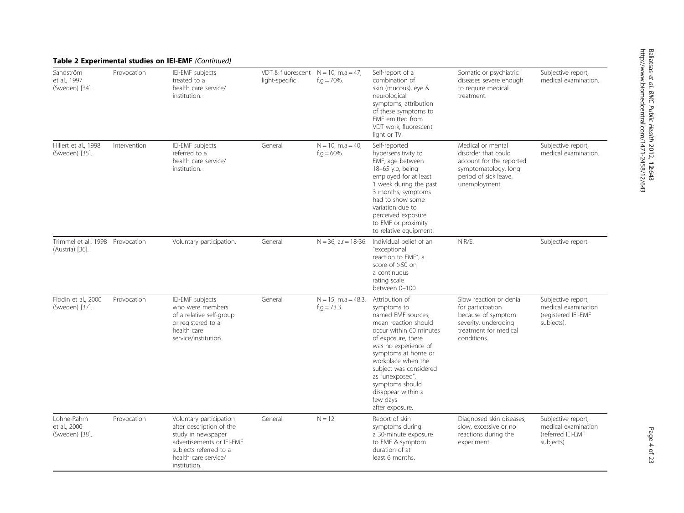|                                                     |              | <b>Table 2 Experimental studies on IEI-EMF</b> (Continued)                                                                                                               |                                                          |                                          |                                                                                                                                                                                                                                                                                                                        |                                                                                                                                        |                                                                                |
|-----------------------------------------------------|--------------|--------------------------------------------------------------------------------------------------------------------------------------------------------------------------|----------------------------------------------------------|------------------------------------------|------------------------------------------------------------------------------------------------------------------------------------------------------------------------------------------------------------------------------------------------------------------------------------------------------------------------|----------------------------------------------------------------------------------------------------------------------------------------|--------------------------------------------------------------------------------|
| Sandström<br>et al., 1997<br>(Sweden) [34].         | Provocation  | IEI-EMF subjects<br>treated to a<br>health care service/<br>institution.                                                                                                 | VDT & fluorescent $N = 10$ , m.a = 47,<br>light-specific | $f.g. = 70\%$ .                          | Self-report of a<br>combination of<br>skin (mucous), eye &<br>neurological<br>symptoms, attribution<br>of these symptoms to<br>EMF emitted from<br>VDT work. fluorescent<br>light or TV.                                                                                                                               | Somatic or psychiatric<br>diseases severe enough<br>to require medical<br>treatment.                                                   | Subjective report,<br>medical examination.                                     |
| Hillert et al., 1998<br>(Sweden) [35].              | Intervention | IEI-EMF subjects<br>referred to a<br>health care service/<br>institution.                                                                                                | General                                                  | $N = 10$ , m.a = 40,<br>$f.g = 60\%$ .   | Self-reported<br>hypersensitivity to<br>EMF, age between<br>18-65 y.o, being<br>employed for at least<br>1 week during the past<br>3 months, symptoms<br>had to show some<br>variation due to<br>perceived exposure<br>to EMF or proximity<br>to relative equipment.                                                   | Medical or mental<br>disorder that could<br>account for the reported<br>symptomatology, long<br>period of sick leave,<br>unemployment. | Subjective report,<br>medical examination.                                     |
| Trimmel et al., 1998 Provocation<br>(Austria) [36]. |              | Voluntary participation.                                                                                                                                                 | General                                                  | $N = 36$ , a.r = 18-36.                  | Individual belief of an<br>"exceptional<br>reaction to EMF", a<br>score of >50 on<br>a continuous<br>rating scale<br>between 0-100.                                                                                                                                                                                    | N.R/E.                                                                                                                                 | Subjective report.                                                             |
| Flodin et al., 2000<br>(Sweden) [37].               | Provocation  | IEI-EMF subjects<br>who were members<br>of a relative self-group<br>or registered to a<br>health care<br>service/institution.                                            | General                                                  | $N = 15$ , m.a = 48.3,<br>$f.g. = 73.3.$ | Attribution of<br>symptoms to<br>named EMF sources,<br>mean reaction should<br>occur within 60 minutes<br>of exposure, there<br>was no experience of<br>symptoms at home or<br>workplace when the<br>subject was considered<br>as "unexposed",<br>symptoms should<br>disappear within a<br>few days<br>after exposure. | Slow reaction or denial<br>for participation<br>because of symptom<br>severity, undergoing<br>treatment for medical<br>conditions.     | Subjective report,<br>medical examination<br>(registered IEI-EMF<br>subjects). |
| Lohne-Rahm<br>et al., 2000<br>(Sweden) [38].        | Provocation  | Voluntary participation<br>after description of the<br>study in newspaper<br>advertisements or IEI-EMF<br>subjects referred to a<br>health care service/<br>institution. | General                                                  | $N = 12$ .                               | Report of skin<br>symptoms during<br>a 30-minute exposure<br>to EMF & symptom<br>duration of at<br>least 6 months.                                                                                                                                                                                                     | Diagnosed skin diseases,<br>slow, excessive or no<br>reactions during the<br>experiment.                                               | Subjective report,<br>medical examination<br>(referred IEI-EMF<br>subjects).   |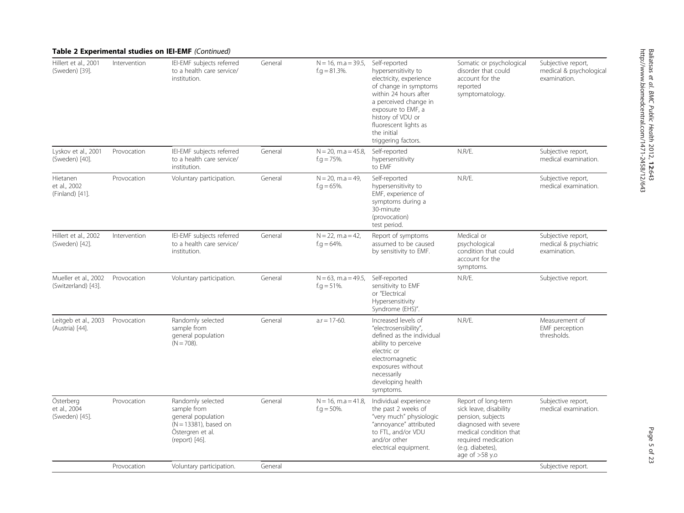| Table 2 Experimental studies on IEI-EMF (Continued) |  |
|-----------------------------------------------------|--|
|-----------------------------------------------------|--|

| Hillert et al., 2001<br>(Sweden) [39].      | Intervention | IEI-EMF subjects referred<br>to a health care service/<br>institution.                                                   | General | $N = 16$ , m.a = 39.5,<br>$f.g. = 81.3\%$ . | Self-reported<br>hypersensitivity to<br>electricity, experience<br>of change in symptoms<br>within 24 hours after<br>a perceived change in<br>exposure to EMF, a<br>history of VDU or<br>fluorescent lights as<br>the initial<br>triggering factors. | Somatic or psychological<br>disorder that could<br>account for the<br>reported<br>symptomatology.                                                                                    | Subjective report,<br>medical & psychological<br>examination. |
|---------------------------------------------|--------------|--------------------------------------------------------------------------------------------------------------------------|---------|---------------------------------------------|------------------------------------------------------------------------------------------------------------------------------------------------------------------------------------------------------------------------------------------------------|--------------------------------------------------------------------------------------------------------------------------------------------------------------------------------------|---------------------------------------------------------------|
| Lyskov et al., 2001<br>(Sweden) [40].       | Provocation  | IEI-EMF subjects referred<br>to a health care service/<br>institution.                                                   | General | $N = 20$ , m.a = 45.8,<br>$f.g. = 75\%$ .   | Self-reported<br>hypersensitivity<br>to EMF                                                                                                                                                                                                          | N.R/E.                                                                                                                                                                               | Subjective report,<br>medical examination.                    |
| Hietanen<br>et al., 2002<br>(Finland) [41]. | Provocation  | Voluntary participation.                                                                                                 | General | $N = 20$ , m.a = 49,<br>$f.g = 65\%$ .      | Self-reported<br>hypersensitivity to<br>EMF, experience of<br>symptoms during a<br>30-minute<br>(provocation)<br>test period.                                                                                                                        | N.R/E.                                                                                                                                                                               | Subjective report,<br>medical examination.                    |
| Hillert et al., 2002<br>(Sweden) [42].      | Intervention | IEI-EMF subjects referred<br>to a health care service/<br>institution.                                                   | General | $N = 22$ , m.a = 42,<br>$f.g. = 64\%.$      | Report of symptoms<br>assumed to be caused<br>by sensitivity to EMF.                                                                                                                                                                                 | Medical or<br>psychological<br>condition that could<br>account for the<br>symptoms.                                                                                                  | Subjective report,<br>medical & psychiatric<br>examination.   |
| Mueller et al., 2002<br>(Switzerland) [43]. | Provocation  | Voluntary participation.                                                                                                 | General | $N = 63$ , m.a = 49.5,<br>$f.g = 51\%$ .    | Self-reported<br>sensitivity to EMF<br>or "Electrical<br>Hypersensitivity<br>Syndrome (EHS)".                                                                                                                                                        | N.R/E.                                                                                                                                                                               | Subjective report.                                            |
| Leitgeb et al., 2003<br>(Austria) [44].     | Provocation  | Randomly selected<br>sample from<br>general population<br>$(N = 708)$ .                                                  | General | $a.r = 17-60.$                              | Increased levels of<br>"electrosensibility",<br>defined as the individual<br>ability to perceive<br>electric or<br>electromagnetic<br>exposures without<br>necessarily<br>developing health<br>symptoms.                                             | N.R/E.                                                                                                                                                                               | Measurement of<br>EMF perception<br>thresholds.               |
| Österberg<br>et al., 2004<br>(Sweden) [45]. | Provocation  | Randomly selected<br>sample from<br>general population<br>$(N = 13381)$ , based on<br>Östergren et al.<br>(report) [46]. | General | $N = 16$ , m.a = 41.8,<br>$f.g = 50\%$ .    | Individual experience<br>the past 2 weeks of<br>"very much" physiologic<br>"annoyance" attributed<br>to FTL, and/or VDU<br>and/or other<br>electrical equipment.                                                                                     | Report of long-term<br>sick leave, disability<br>pension, subjects<br>diagnosed with severe<br>medical condition that<br>required medication<br>(e.g. diabetes),<br>age of $>58$ y.o | Subjective report,<br>medical examination.                    |
|                                             | Provocation  | Voluntary participation.                                                                                                 | General |                                             |                                                                                                                                                                                                                                                      |                                                                                                                                                                                      | Subjective report.                                            |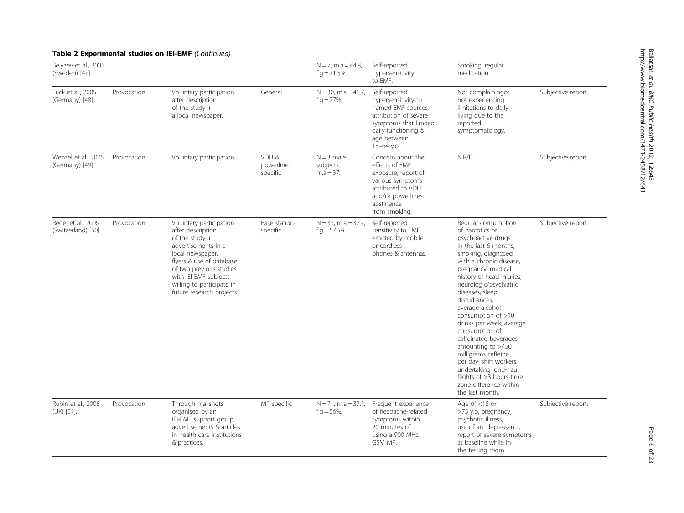| Belyaev et al., 2005<br>(Sweden) [47].    |             |                                                                                                                                                                                                                                                       |                                 | $N = 7$ , m.a = 44.8,<br>$f.g. = 71.5\%$ . | Self-reported<br>hypersensitivity<br>to EMF.                                                                                                                     | Smoking, regular<br>medication                                                                                                                                                                                                                                                                                                                                                                                                                                                                                                                       |                    |
|-------------------------------------------|-------------|-------------------------------------------------------------------------------------------------------------------------------------------------------------------------------------------------------------------------------------------------------|---------------------------------|--------------------------------------------|------------------------------------------------------------------------------------------------------------------------------------------------------------------|------------------------------------------------------------------------------------------------------------------------------------------------------------------------------------------------------------------------------------------------------------------------------------------------------------------------------------------------------------------------------------------------------------------------------------------------------------------------------------------------------------------------------------------------------|--------------------|
| Frick et al., 2005<br>(Germany) [48].     | Provocation | Voluntary participation<br>after description<br>of the study in<br>a local newspaper.                                                                                                                                                                 | General                         | $N = 30$ , m.a = 41.7,<br>$f.g. = 77\%$ .  | Self-reported<br>hypersensitivity to<br>named EMF sources,<br>attribution of severe<br>symptoms that limited<br>daily functioning &<br>age between<br>18-64 y.o. | Not complainingor<br>not experiencing<br>limitations to daily<br>living due to the<br>reported<br>symptomatology.                                                                                                                                                                                                                                                                                                                                                                                                                                    | Subjective report. |
| Wenzel et al., 2005<br>(Germany) [49].    | Provocation | Voluntary participation.                                                                                                                                                                                                                              | VDU &<br>powerline-<br>specific | $N = 3$ male<br>subjects,<br>$m.a = 37.$   | Concern about the<br>effects of EMF<br>exposure, report of<br>various symptoms<br>attributed to VDU<br>and/or powerlines,<br>abstinence<br>from smoking.         | N.R/E.                                                                                                                                                                                                                                                                                                                                                                                                                                                                                                                                               | Subjective report. |
| Regel et al., 2006<br>(Switzerland) [50]. | Provocation | Voluntary participation<br>after description<br>of the study in<br>advertisements in a<br>local newspaper,<br>flyers & use of databases<br>of two previous studies<br>with IEI-EMF subjects<br>willing to participate in<br>future research projects. | Base station-<br>specific       | $N = 33$ , m.a = 37.7,<br>f.g $=$ 57.5%.   | Self-reported<br>sensitivity to EMF<br>emitted by mobile<br>or cordless<br>phones & antennas.                                                                    | Regular consumption<br>of narcotics or<br>psychoactive drugs<br>in the last 6 months,<br>smoking, diagnosed<br>with a chronic disease,<br>pregnancy, medical<br>history of head injuries,<br>neurologic/psychiatric<br>diseases, sleep<br>disturbances,<br>average alcohol<br>consumption of $>10$<br>drinks per week, average<br>consumption of<br>caffeinated beverages<br>amounting to >450<br>milligrams caffeine<br>per day, shift workers,<br>undertaking long-haul<br>flights of $>3$ hours time<br>zone difference within<br>the last month. | Subjective report. |
| Rubin et al., 2006<br>(UK) [51].          | Provocation | Through mailshots<br>organised by an<br>IEI-EMF support group,<br>advertisements & articles<br>in health care institutions<br>& practices.                                                                                                            | MP-specific                     | $N = 71$ , m.a = 37.1,<br>$f.g. = 56\%$ .  | Frequent experience<br>of headache-related<br>symptoms within<br>20 minutes of<br>using a 900 MHz<br>GSM MP.                                                     | Age of $<$ 18 or<br>>75 y.o, pregnancy,<br>psychotic illness,<br>use of antidepressants,<br>report of severe symptoms<br>at baseline while in<br>the testing room.                                                                                                                                                                                                                                                                                                                                                                                   | Subjective report. |

#### Table 2 Experimental studies on IEI-EMF (Continued)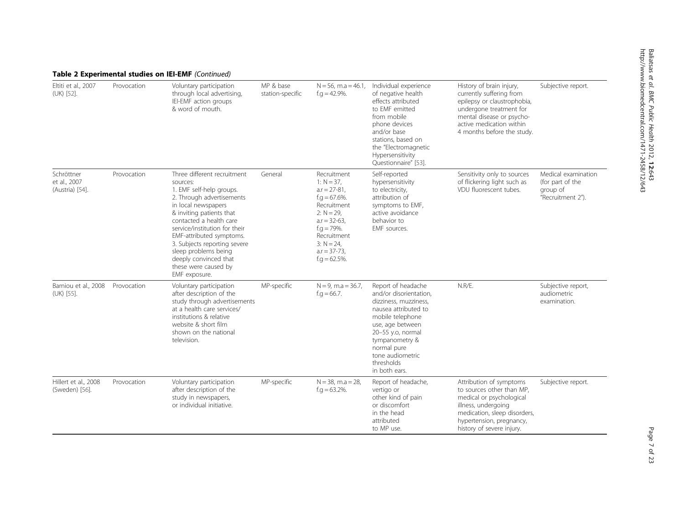|                                               | Table 2 Experimental studies on IEI-EMF (Continued) |                                                                                                                                                                                                                                                                                                                                                                       |                               |                                                                                                                                                                                                               |                                                                                                                                                                                                                                                |                                                                                                                                                                                                       |                                                                          |  |  |  |
|-----------------------------------------------|-----------------------------------------------------|-----------------------------------------------------------------------------------------------------------------------------------------------------------------------------------------------------------------------------------------------------------------------------------------------------------------------------------------------------------------------|-------------------------------|---------------------------------------------------------------------------------------------------------------------------------------------------------------------------------------------------------------|------------------------------------------------------------------------------------------------------------------------------------------------------------------------------------------------------------------------------------------------|-------------------------------------------------------------------------------------------------------------------------------------------------------------------------------------------------------|--------------------------------------------------------------------------|--|--|--|
| Eltiti et al., 2007<br>(UK) [52].             | Provocation                                         | Voluntary participation<br>through local advertising,<br>IEI-EMF action groups<br>& word of mouth.                                                                                                                                                                                                                                                                    | MP & base<br>station-specific | $N = 56$ , m.a = 46.1.<br>$f.g. = 42.9\%$ .                                                                                                                                                                   | Individual experience<br>of negative health<br>effects attributed<br>to FMF emitted<br>from mobile<br>phone devices<br>and/or base<br>stations, based on<br>the "Electromagnetic<br>Hypersensitivity<br>Questionnaire" [53].                   | History of brain injury,<br>currently suffering from<br>epilepsy or claustrophobia,<br>undergone treatment for<br>mental disease or psycho-<br>active medication within<br>4 months before the study. | Subjective report.                                                       |  |  |  |
| Schröttner<br>et al., 2007<br>(Austria) [54]. | Provocation                                         | Three different recruitment<br>sources:<br>1. EMF self-help groups.<br>2. Through advertisements<br>in local newspapers<br>& inviting patients that<br>contacted a health care<br>service/institution for their<br>EMF-attributed symptoms.<br>3. Subjects reporting severe<br>sleep problems being<br>deeply convinced that<br>these were caused by<br>EMF exposure. | General                       | Recruitment<br>$1: N = 37.$<br>$a.r = 27-81$ ,<br>$f.g. = 67.6\%$ .<br>Recruitment<br>$2: N = 29.$<br>$a.r = 32-63,$<br>$f.g. = 79\%$ .<br>Recruitment<br>$3: N = 24.$<br>$a.r = 37-73$ ,<br>$f.g = 62.5\%$ . | Self-reported<br>hypersensitivity<br>to electricity,<br>attribution of<br>symptoms to EMF,<br>active avoidance<br>behavior to<br>EMF sources.                                                                                                  | Sensitivity only to sources<br>of flickering light such as<br>VDU fluorescent tubes.                                                                                                                  | Medical examination<br>(for part of the<br>group of<br>"Recruitment 2"). |  |  |  |
| Bamiou et al., 2008<br>(UK) [55].             | Provocation                                         | Voluntary participation<br>after description of the<br>study through advertisements<br>at a health care services/<br>institutions & relative<br>website & short film<br>shown on the national<br>television.                                                                                                                                                          | MP-specific                   | $N = 9$ , m.a = 36.7,<br>$f.q = 66.7.$                                                                                                                                                                        | Report of headache<br>and/or disorientation,<br>dizziness, muzziness,<br>nausea attributed to<br>mobile telephone<br>use, age between<br>20-55 y.o, normal<br>tympanometry &<br>normal pure<br>tone audiometric<br>thresholds<br>in both ears. | N.R/E.                                                                                                                                                                                                | Subjective report,<br>audiometric<br>examination.                        |  |  |  |
| Hillert et al., 2008<br>(Sweden) [56].        | Provocation                                         | Voluntary participation<br>after description of the<br>study in newspapers,<br>or individual initiative.                                                                                                                                                                                                                                                              | MP-specific                   | $N = 38$ , m.a = 28,<br>$f.g = 63.2\%$ .                                                                                                                                                                      | Report of headache,<br>vertigo or<br>other kind of pain<br>or discomfort<br>in the head<br>attributed<br>to MP use.                                                                                                                            | Attribution of symptoms<br>to sources other than MP,<br>medical or psychological<br>illness, undergoing<br>medication, sleep disorders,<br>hypertension, pregnancy,<br>history of severe injury.      | Subjective report.                                                       |  |  |  |

# http://www.biomedcentral.com/1471-2458/12/643 $\overline{\phantom{0}}$

Baliatsas

et al. BMC Public Health

2012,

12:643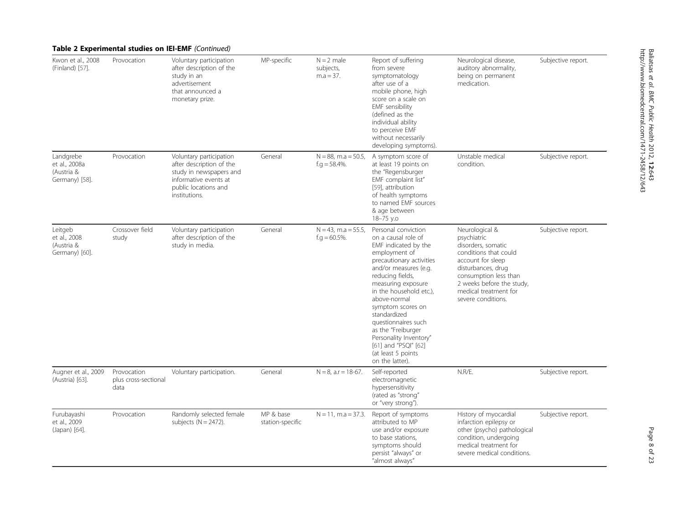|                                                            |                                             | Table 2 Experimental studies on IEI-EMF (Continued)                                                                                              |                               |                                             |                                                                                                                                                                                                                                                                                                                                                                                                            |                                                                                                                                                                                                                              |                    |
|------------------------------------------------------------|---------------------------------------------|--------------------------------------------------------------------------------------------------------------------------------------------------|-------------------------------|---------------------------------------------|------------------------------------------------------------------------------------------------------------------------------------------------------------------------------------------------------------------------------------------------------------------------------------------------------------------------------------------------------------------------------------------------------------|------------------------------------------------------------------------------------------------------------------------------------------------------------------------------------------------------------------------------|--------------------|
| Kwon et al., 2008<br>(Finland) [57].                       | Provocation                                 | Voluntary participation<br>after description of the<br>study in an<br>advertisement<br>that announced a<br>monetary prize.                       | MP-specific                   | $N = 2$ male<br>subjects,<br>$m.a = 37.$    | Report of suffering<br>from severe<br>symptomatology<br>after use of a<br>mobile phone, high<br>score on a scale on<br>EMF sensibility<br>(defined as the<br>individual ability<br>to perceive EMF<br>without necessarily<br>developing symptoms).                                                                                                                                                         | Neurological disease,<br>auditory abnormality,<br>being on permanent<br>medication.                                                                                                                                          | Subjective report. |
| Landgrebe<br>et al., 2008a<br>(Austria &<br>Germany) [58]. | Provocation                                 | Voluntary participation<br>after description of the<br>study in newspapers and<br>informative events at<br>public locations and<br>institutions. | General                       | $N = 88$ , m.a = 50.5,<br>$f.g. = 58.4\%$ . | A symptom score of<br>at least 19 points on<br>the "Regensburger<br>EMF complaint list"<br>[59], attribution<br>of health symptoms<br>to named EMF sources<br>& age between<br>18-75 y.o                                                                                                                                                                                                                   | Unstable medical<br>condition.                                                                                                                                                                                               | Subjective report. |
| Leitgeb<br>et al., 2008<br>(Austria &<br>Germany) [60].    | Crossover field<br>study                    | Voluntary participation<br>after description of the<br>study in media.                                                                           | General                       | $N = 43$ , m.a = 55.5,<br>$f.g = 60.5\%$ .  | Personal conviction<br>on a causal role of<br>EMF indicated by the<br>employment of<br>precautionary activities<br>and/or measures (e.g.<br>reducing fields,<br>measuring exposure<br>in the household etc.),<br>above-normal<br>symptom scores on<br>standardized<br>questionnaires such<br>as the "Freiburger<br>Personality Inventory"<br>[61] and "PSQI" [62]<br>(at least 5 points<br>on the latter). | Neurological &<br>psychiatric<br>disorders, somatic<br>conditions that could<br>account for sleep<br>disturbances, drug<br>consumption less than<br>2 weeks before the study,<br>medical treatment for<br>severe conditions. | Subjective report. |
| Augner et al., 2009<br>(Austria) [63].                     | Provocation<br>plus cross-sectional<br>data | Voluntary participation.                                                                                                                         | General                       | $N = 8$ , a.r = 18-67.                      | Self-reported<br>electromagnetic<br>hypersensitivity<br>(rated as "strong"<br>or "very strong").                                                                                                                                                                                                                                                                                                           | N.R/E.                                                                                                                                                                                                                       | Subjective report. |
| Furubayashi<br>et al., 2009<br>(Japan) [64].               | Provocation                                 | Randomly selected female<br>subjects $(N = 2472)$ .                                                                                              | MP & base<br>station-specific | $N = 11$ , m.a = 37.3.                      | Report of symptoms<br>attributed to MP<br>use and/or exposure<br>to base stations,<br>symptoms should<br>persist "always" or<br>"almost always"                                                                                                                                                                                                                                                            | History of myocardial<br>infarction epilepsy or<br>other (psycho) pathological<br>condition, undergoing<br>medical treatment for<br>severe medical conditions.                                                               | Subjective report. |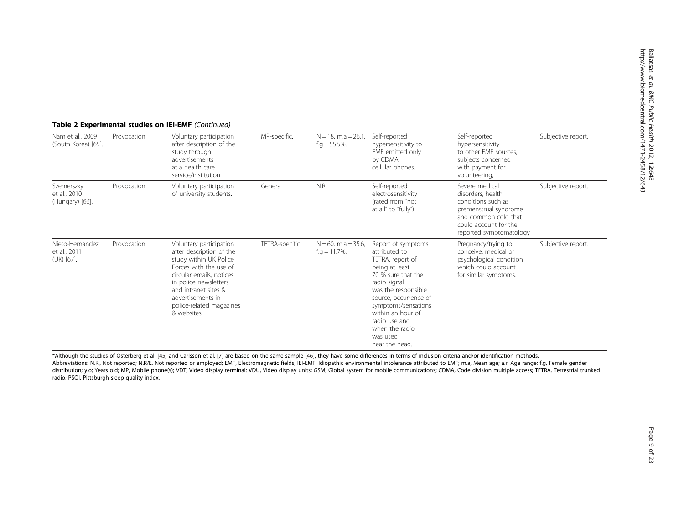| Nam et al., 2009<br>(South Korea) [65].       | Provocation | Voluntary participation<br>after description of the<br>study through<br>advertisements<br>at a health care<br>service/institution.                                                                                                                   | MP-specific.   | $N = 18$ , m.a = 26.1<br>$f.g = 55.5\%$ .  | Self-reported<br>hypersensitivity to<br>EMF emitted only<br>by CDMA<br>cellular phones.                                                                                                                                                                                      | Self-reported<br>hypersensitivity<br>to other EMF sources,<br>subjects concerned<br>with payment for<br>volunteering,                                          | Subjective report. |
|-----------------------------------------------|-------------|------------------------------------------------------------------------------------------------------------------------------------------------------------------------------------------------------------------------------------------------------|----------------|--------------------------------------------|------------------------------------------------------------------------------------------------------------------------------------------------------------------------------------------------------------------------------------------------------------------------------|----------------------------------------------------------------------------------------------------------------------------------------------------------------|--------------------|
| Szemerszky<br>et al., 2010<br>(Hungary) [66]. | Provocation | Voluntary participation<br>of university students.                                                                                                                                                                                                   | General        | N.R.                                       | Self-reported<br>electrosensitivity<br>(rated from "not<br>at all" to "fully").                                                                                                                                                                                              | Severe medical<br>disorders, health<br>conditions such as<br>premenstrual syndrome<br>and common cold that<br>could account for the<br>reported symptomatology | Subjective report. |
| Nieto-Hernandez<br>et al., 2011<br>(UK) [67]. | Provocation | Voluntary participation<br>after description of the<br>study within UK Police<br>Forces with the use of<br>circular emails, notices<br>in police newsletters<br>and intranet sites &<br>advertisements in<br>police-related magazines<br>& websites. | TETRA-specific | $N = 60$ , m.a = 35.6,<br>$f.g = 11.7\%$ . | Report of symptoms<br>attributed to<br>TETRA, report of<br>being at least<br>70 % sure that the<br>radio signal<br>was the responsible<br>source, occurrence of<br>symptoms/sensations<br>within an hour of<br>radio use and<br>when the radio<br>was used<br>near the head. | Pregnancy/trying to<br>conceive, medical or<br>psychological condition<br>which could account<br>for similar symptoms.                                         | Subjective report. |

#### Table 2 Experimental studies on IEI-EMF (Continued)

\*Although the studies of Österberg et al. [[45\]](#page-21-0) and Carlsson et al. [[7](#page-20-0)] are based on the same sample [\[46](#page-21-0)], they have some differences in terms of inclusion criteria and/or identification methods.

Abbreviations: N.R., Not reported; N.R/E, Not reported or employed; EMF, Electromagnetic fields; IEI-EMF, Idiopathic environmental intolerance attributed to EMF; m.a, Mean age; a.r, Age range; f.g, Female gender distribution; y.o; Years old; MP, Mobile phone(s); VDT, Video display terminal: VDU, Video display units; GSM, Global system for mobile communications; CDMA, Code division multiple access; TETRA, Terrestrial trunked radio; PSQI, Pittsburgh sleep quality index.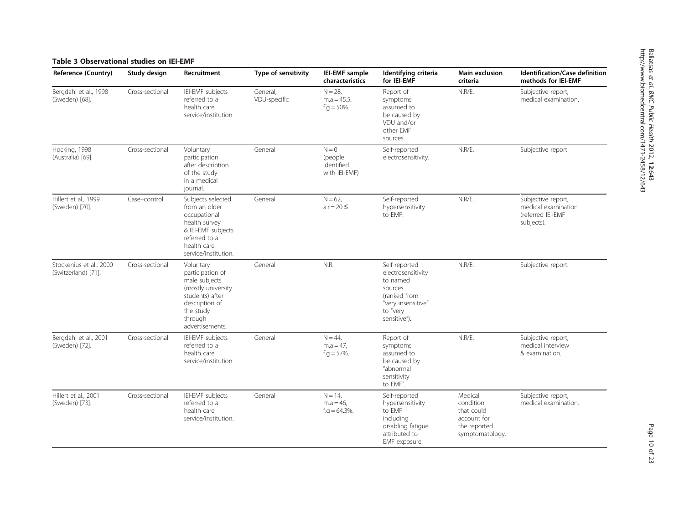#### <span id="page-9-0"></span>Table 3 Observational studies on IEI-EMF

| <b>Reference (Country)</b>                     | Study design    | Recruitment                                                                                                                                          | Type of sensitivity      | IEI-EMF sample<br>characteristics                  | Identifying criteria<br>for IEI-EMF                                                                                          | Main exclusion<br>criteria                                                           | Identification/Case definition<br>methods for IEI-EMF                        |
|------------------------------------------------|-----------------|------------------------------------------------------------------------------------------------------------------------------------------------------|--------------------------|----------------------------------------------------|------------------------------------------------------------------------------------------------------------------------------|--------------------------------------------------------------------------------------|------------------------------------------------------------------------------|
| Bergdahl et al., 1998<br>(Sweden) [68].        | Cross-sectional | IEI-EMF subjects<br>referred to a<br>health care<br>service/institution.                                                                             | General,<br>VDU-specific | $N = 28$<br>$m.a = 45.5$ ,<br>$f.g. = 50\%$ .      | Report of<br>symptoms<br>assumed to<br>be caused by<br>VDU and/or<br>other EMF<br>sources.                                   | N.R/E.                                                                               | Subjective report,<br>medical examination.                                   |
| Hocking, 1998<br>(Australia) [69].             | Cross-sectional | Voluntary<br>participation<br>after description<br>of the study<br>in a medical<br>journal.                                                          | General                  | $N = 0$<br>(people)<br>identified<br>with IEI-EMF) | Self-reported<br>electrosensitivity.                                                                                         | N.R/E.                                                                               | Subjective report                                                            |
| Hillert et al., 1999<br>(Sweden) [70].         | Case-control    | Subjects selected<br>from an older<br>occupational<br>health survey<br>& IEI-EMF subjects<br>referred to a<br>health care<br>service/institution.    | General                  | $N = 62$ ,<br>$ar = 20 \leq$ .                     | Self-reported<br>hypersensitivity<br>to EMF.                                                                                 | N.R/E.                                                                               | Subjective report,<br>medical examination<br>(referred IEI-EMF<br>subjects). |
| Stockenius et al., 2000<br>(Switzerland) [71]. | Cross-sectional | Voluntary<br>participation of<br>male subjects<br>(mostly university<br>students) after<br>description of<br>the study<br>through<br>advertisements. | General                  | N.R.                                               | Self-reported<br>electrosensitivity<br>to named<br>sources<br>(ranked from<br>"very insensitive"<br>to "very<br>sensitive"). | N.R/E.                                                                               | Subjective report.                                                           |
| Bergdahl et al., 2001<br>(Sweden) [72].        | Cross-sectional | IEI-EMF subjects<br>referred to a<br>health care<br>service/institution.                                                                             | General                  | $N = 44$ ,<br>$m.a = 47.$<br>$f.q = 57\%$ .        | Report of<br>symptoms<br>assumed to<br>be caused by<br>"abnormal<br>sensitivity<br>to EMF".                                  | N.R/E.                                                                               | Subjective report,<br>medical interview<br>& examination.                    |
| Hillert et al., 2001<br>(Sweden) [73].         | Cross-sectional | IEI-EMF subjects<br>referred to a<br>health care<br>service/institution.                                                                             | General                  | $N = 14.$<br>$m.a = 46.$<br>$f.g = 64.3\%$ .       | Self-reported<br>hypersensitivity<br>to EMF<br>including<br>disabling fatigue<br>attributed to<br>EMF exposure.              | Medical<br>condition<br>that could<br>account for<br>the reported<br>symptomatology. | Subjective report,<br>medical examination.                                   |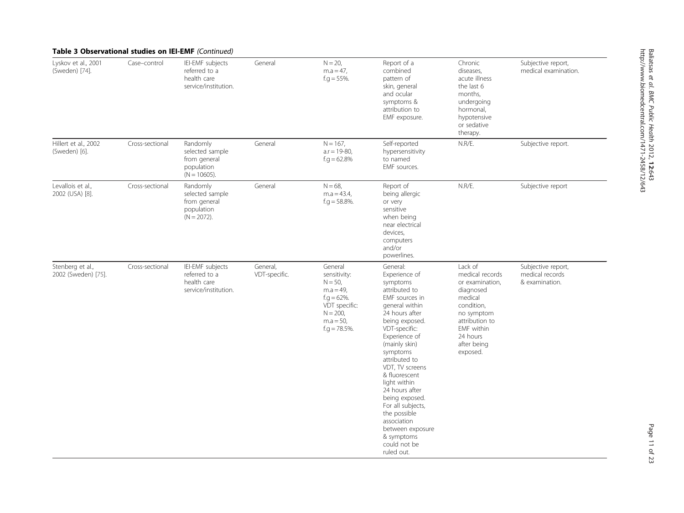| <b>Table 3 Observational studies on IEI-EMF</b> (Continued) |                 |                                                                              |                           |                                                                                                                                              |                                                                                                                                                                                                                                                                                                                                                                                                                            |                                                                                                                                                                                 |                                                         |
|-------------------------------------------------------------|-----------------|------------------------------------------------------------------------------|---------------------------|----------------------------------------------------------------------------------------------------------------------------------------------|----------------------------------------------------------------------------------------------------------------------------------------------------------------------------------------------------------------------------------------------------------------------------------------------------------------------------------------------------------------------------------------------------------------------------|---------------------------------------------------------------------------------------------------------------------------------------------------------------------------------|---------------------------------------------------------|
| Lyskov et al., 2001<br>(Sweden) [74].                       | Case-control    | IEI-EMF subjects<br>referred to a<br>health care<br>service/institution.     | General                   | $N = 20$ ,<br>$m.a = 47$ ,<br>$f.g = 55\%$ .                                                                                                 | Report of a<br>combined<br>pattern of<br>skin, general<br>and ocular<br>symptoms &<br>attribution to<br>EMF exposure.                                                                                                                                                                                                                                                                                                      | Chronic<br>diseases,<br>acute illness<br>the last 6<br>months,<br>undergoing<br>hormonal,<br>hypotensive<br>or sedative<br>therapy.                                             | Subjective report,<br>medical examination.              |
| Hillert et al., 2002<br>(Sweden) [6].                       | Cross-sectional | Randomly<br>selected sample<br>from general<br>population<br>$(N = 10605)$ . | General                   | $N = 167$ ,<br>$a.r = 19-80$ ,<br>$f.g. = 62.8\%$                                                                                            | Self-reported<br>hypersensitivity<br>to named<br>EMF sources.                                                                                                                                                                                                                                                                                                                                                              | N.R/E.                                                                                                                                                                          | Subjective report.                                      |
| Levallois et al.,<br>2002 (USA) [8].                        | Cross-sectional | Randomly<br>selected sample<br>from general<br>population<br>$(N = 2072)$ .  | General                   | $N = 68.$<br>$m.a = 43.4$ ,<br>$f.g = 58.8\%$ .                                                                                              | Report of<br>being allergic<br>or very<br>sensitive<br>when being<br>near electrical<br>devices,<br>computers<br>and/or<br>powerlines.                                                                                                                                                                                                                                                                                     | N.R/E.                                                                                                                                                                          | Subjective report                                       |
| Stenberg et al.,<br>2002 (Sweden) [75].                     | Cross-sectional | IEI-EMF subjects<br>referred to a<br>health care<br>service/institution.     | General,<br>VDT-specific. | General<br>sensitivity:<br>$N = 50$ ,<br>$m.a = 49,$<br>$f.g. = 62\%$ .<br>VDT specific:<br>$N = 200$ ,<br>$m.a = 50$ ,<br>$f.g. = 78.5\%$ . | General:<br>Experience of<br>symptoms<br>attributed to<br>EMF sources in<br>general within<br>24 hours after<br>being exposed.<br>VDT-specific:<br>Experience of<br>(mainly skin)<br>symptoms<br>attributed to<br>VDT, TV screens<br>& fluorescent<br>light within<br>24 hours after<br>being exposed.<br>For all subjects,<br>the possible<br>association<br>between exposure<br>& symptoms<br>could not be<br>ruled out. | Lack of<br>medical records<br>or examination,<br>diagnosed<br>medical<br>condition,<br>no symptom<br>attribution to<br><b>EMF</b> within<br>24 hours<br>after being<br>exposed. | Subjective report,<br>medical records<br>& examination. |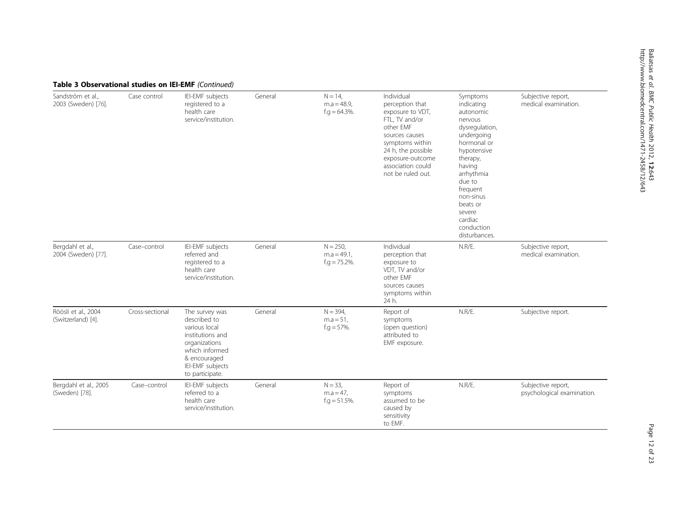| Table 3 Observational studies on IEI-EMF (Continued) |                 |                                                                                                                                                               |         |                                                   |                                                                                                                                                                                                           |                                                                                                                                                                                                                                                     |                                                  |
|------------------------------------------------------|-----------------|---------------------------------------------------------------------------------------------------------------------------------------------------------------|---------|---------------------------------------------------|-----------------------------------------------------------------------------------------------------------------------------------------------------------------------------------------------------------|-----------------------------------------------------------------------------------------------------------------------------------------------------------------------------------------------------------------------------------------------------|--------------------------------------------------|
| Sandström et al.,<br>2003 (Sweden) [76].             | Case control    | IEI-EMF subjects<br>registered to a<br>health care<br>service/institution.                                                                                    | General | $N = 14$ ,<br>$m.a = 48.9$<br>$f.g = 64.3\%$ .    | Individual<br>perception that<br>exposure to VDT,<br>FTL, TV and/or<br>other EMF<br>sources causes<br>symptoms within<br>24 h, the possible<br>exposure-outcome<br>association could<br>not be ruled out. | Symptoms<br>indicating<br>autonomic<br>nervous<br>dysregulation,<br>undergoing<br>hormonal or<br>hypotensive<br>therapy,<br>having<br>arrhythmia<br>due to<br>frequent<br>non-sinus<br>beats or<br>severe<br>cardiac<br>conduction<br>disturbances. | Subjective report,<br>medical examination.       |
| Bergdahl et al.,<br>2004 (Sweden) [77].              | Case-control    | IEI-EMF subjects<br>referred and<br>registered to a<br>health care<br>service/institution.                                                                    | General | $N = 250$ ,<br>$m.a = 49.1$ ,<br>$f.g = 75.2\%$ . | Individual<br>perception that<br>exposure to<br>VDT, TV and/or<br>other EMF<br>sources causes<br>symptoms within<br>24 h.                                                                                 | N.R/E.                                                                                                                                                                                                                                              | Subjective report,<br>medical examination.       |
| Röösli et al., 2004<br>(Switzerland) [4].            | Cross-sectional | The survey was<br>described to<br>various local<br>institutions and<br>organizations<br>which informed<br>& encouraged<br>IEI-EMF subjects<br>to participate. | General | $N = 394$ ,<br>$m.a = 51$ ,<br>$f.q = 57\%$ .     | Report of<br>symptoms<br>(open question)<br>attributed to<br>EMF exposure.                                                                                                                                | N.R/E.                                                                                                                                                                                                                                              | Subjective report.                               |
| Bergdahl et al., 2005<br>(Sweden) [78].              | Case-control    | IEI-EMF subjects<br>referred to a<br>health care<br>service/institution.                                                                                      | General | $N = 33$ ,<br>$m.a = 47$ ,<br>$f.g = 51.5\%$ .    | Report of<br>symptoms<br>assumed to be<br>caused by<br>sensitivity<br>to EMF.                                                                                                                             | N.R/E.                                                                                                                                                                                                                                              | Subjective report,<br>psychological examination. |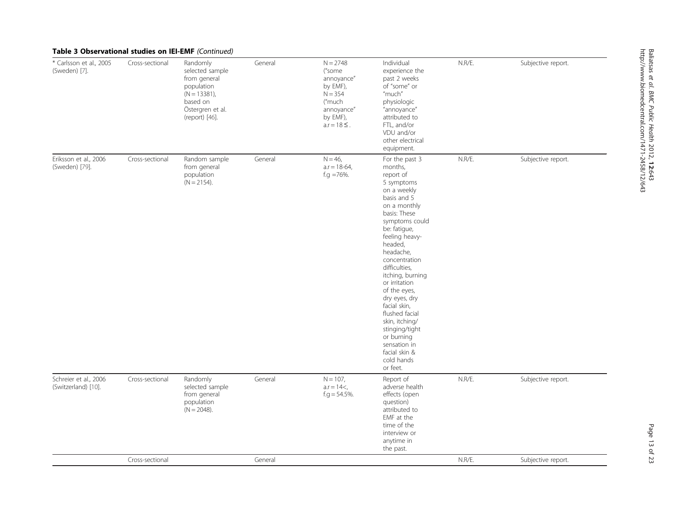|  | Table 3 Observational studies on IEI-EMF (Continued) |  |  |  |
|--|------------------------------------------------------|--|--|--|
|--|------------------------------------------------------|--|--|--|

| * Carlsson et al., 2005<br>(Sweden) [7].     | Cross-sectional | Randomly<br>selected sample<br>from general<br>population<br>$(N = 13381)$ ,<br>based on<br>Östergren et al.<br>(report) [46]. | General | $N = 2748$<br>("some<br>annoyance"<br>by EMF),<br>$N = 354$<br>("much<br>annoyance"<br>by EMF),<br>$a.r = 18 \leq$ . | Individual<br>experience the<br>past 2 weeks<br>of "some" or<br>"much"<br>physiologic<br>"annoyance"<br>attributed to<br>FTL, and/or<br>VDU and/or<br>other electrical<br>equipment.                                                                                                                                                                                                                                                                  | N.R/E. | Subjective report. |
|----------------------------------------------|-----------------|--------------------------------------------------------------------------------------------------------------------------------|---------|----------------------------------------------------------------------------------------------------------------------|-------------------------------------------------------------------------------------------------------------------------------------------------------------------------------------------------------------------------------------------------------------------------------------------------------------------------------------------------------------------------------------------------------------------------------------------------------|--------|--------------------|
| Eriksson et al., 2006<br>(Sweden) [79].      | Cross-sectional | Random sample<br>from general<br>population<br>$(N = 2154)$ .                                                                  | General | $N = 46$ ,<br>$a.r = 18-64$ ,<br>f.g $=76%$ .                                                                        | For the past 3<br>months,<br>report of<br>5 symptoms<br>on a weekly<br>basis and 5<br>on a monthly<br>basis: These<br>symptoms could<br>be: fatigue,<br>feeling heavy-<br>headed,<br>headache,<br>concentration<br>difficulties,<br>itching, burning<br>or irritation<br>of the eyes,<br>dry eyes, dry<br>facial skin,<br>flushed facial<br>skin, itching/<br>stinging/tight<br>or burning<br>sensation in<br>facial skin &<br>cold hands<br>or feet. | N.R/E. | Subjective report. |
| Schreier et al., 2006<br>(Switzerland) [10]. | Cross-sectional | Randomly<br>selected sample<br>from general<br>population<br>$(N = 2048)$ .                                                    | General | $N = 107$ ,<br>$a.r = 14<$ ,<br>$f.g = 54.5\%$ .                                                                     | Report of<br>adverse health<br>effects (open<br>question)<br>attributed to<br>EMF at the<br>time of the<br>interview or<br>anytime in<br>the past.                                                                                                                                                                                                                                                                                                    | N.R/E. | Subjective report. |
|                                              | Cross-sectional |                                                                                                                                | General |                                                                                                                      |                                                                                                                                                                                                                                                                                                                                                                                                                                                       | N.R/E. | Subjective report. |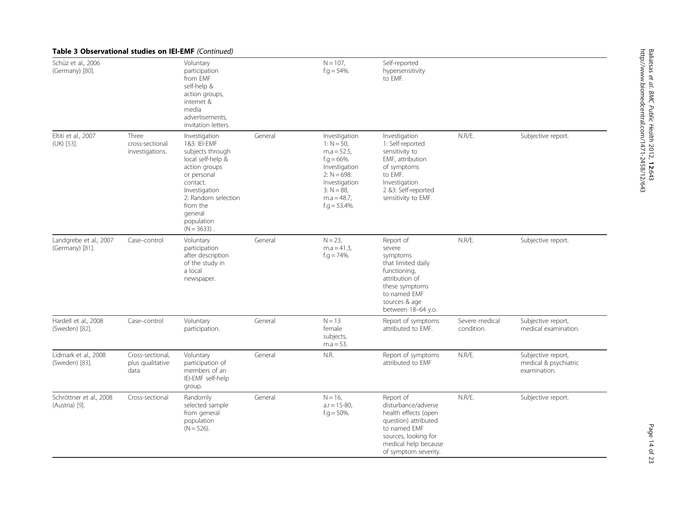|                                           | <b>Table 3 Observational studies on IEI-EMF</b> (Continued) |                                                                                                                                                                                                                   |         |                                                                                                                                                                            |                                                                                                                                                                          |                              |                                                             |
|-------------------------------------------|-------------------------------------------------------------|-------------------------------------------------------------------------------------------------------------------------------------------------------------------------------------------------------------------|---------|----------------------------------------------------------------------------------------------------------------------------------------------------------------------------|--------------------------------------------------------------------------------------------------------------------------------------------------------------------------|------------------------------|-------------------------------------------------------------|
| Schüz et al., 2006<br>(Germany) [80].     |                                                             | Voluntary<br>participation<br>from EMF<br>self-help &<br>action groups,<br>internet &<br>media<br>advertisements,<br>invitation letters.                                                                          |         | $N = 107$ ,<br>$f.g = 54\%$ .                                                                                                                                              | Self-reported<br>hypersensitivity<br>to EMF.                                                                                                                             |                              |                                                             |
| Eltiti et al., 2007<br>(UK) [53].         | Three<br>cross-sectional<br>investigations.                 | Investigation<br>1&3: IEI-EMF<br>subjects through<br>local self-help &<br>action groups<br>or personal<br>contact.<br>Investigation<br>2: Random selection<br>from the<br>general<br>population<br>$(N = 3633)$ . | General | Investigation<br>1: $N = 50$ ,<br>$m.a = 52.5$ ,<br>$f.g = 66\%$ .<br>Investigation<br>$2: N = 698.$<br>Investigation<br>$3: N = 88$<br>$m.a = 48.7$ ,<br>$f.g = 53.4\%$ . | Investigation<br>1: Self-reported<br>sensitivity to<br>EMF, attribution<br>of symptoms<br>to EMF.<br>Investigation<br>2 &3: Self-reported<br>sensitivity to EMF.         | N.R/E.                       | Subjective report.                                          |
| Landgrebe et al., 2007<br>(Germany) [81]. | Case-control                                                | Voluntary<br>participation<br>after description<br>of the study in<br>a local<br>newspaper.                                                                                                                       | General | $N = 23$ ,<br>$m.a = 41.3.$<br>$f.g. = 74\%$ .                                                                                                                             | Report of<br>severe<br>symptoms<br>that limited daily<br>functioning,<br>attribution of<br>these symptoms<br>to named EMF<br>sources & age<br>between 18-64 y.o.         | N.R/E.                       | Subjective report.                                          |
| Hardell et al., 2008<br>(Sweden) [82].    | Case-control                                                | Voluntary<br>participation.                                                                                                                                                                                       | General | $N = 13$<br>female<br>subjects,<br>$m.a = 53.$                                                                                                                             | Report of symptoms<br>attributed to EMF.                                                                                                                                 | Severe medical<br>condition. | Subjective report,<br>medical examination.                  |
| Lidmark et al., 2008<br>(Sweden) [83].    | Cross-sectional.<br>plus qualitative<br>data                | Voluntary<br>participation of<br>members of an<br>IEI-EMF self-help<br>group.                                                                                                                                     | General | N.R.                                                                                                                                                                       | Report of symptoms<br>attributed to EMF                                                                                                                                  | N.R/E.                       | Subjective report,<br>medical & psychiatric<br>examination. |
| Schröttner et al., 2008<br>(Austria) [9]. | Cross-sectional                                             | Randomly<br>selected sample<br>from general<br>population<br>$(N = 526)$ .                                                                                                                                        | General | $N = 16$ .<br>$a.r = 15-80$ ,<br>$f.g = 50\%$ .                                                                                                                            | Report of<br>disturbance/adverse<br>health effects (open<br>question) attributed<br>to named EMF<br>sources, looking for<br>medical help because<br>of symptom severity. | N.R/E.                       | Subjective report.                                          |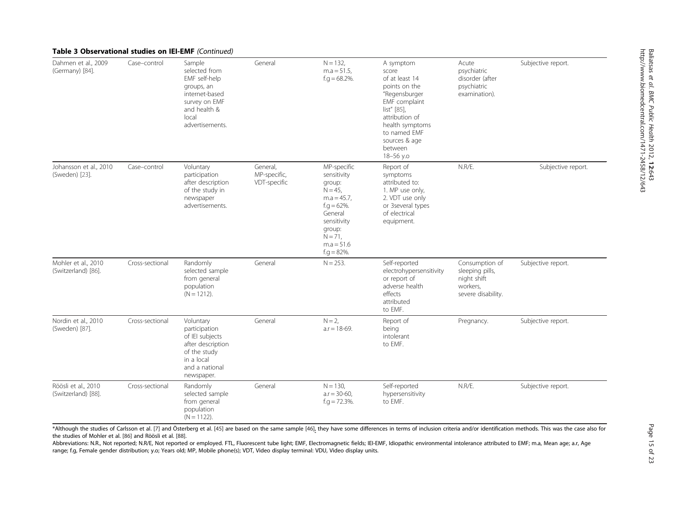| Dahmen et al., 2009<br>(Germany) [84].     | Case-control    | Sample<br>selected from<br>EMF self-help<br>groups, an<br>internet-based<br>survey on EMF<br>and health &<br>local<br>advertisements. | General                                  | $N = 132$ ,<br>$m.a = 51.5$ ,<br>$f.g. = 68.2\%$ .                                                                                                                         | A symptom<br>score<br>of at least 14<br>points on the<br>"Regensburger<br>EMF complaint<br>list" [85],<br>attribution of<br>health symptoms<br>to named EMF<br>sources & age<br>between<br>18-56 y.o | Acute<br>psychiatric<br>disorder (after<br>psychiatric<br>examination).            | Subjective report. |
|--------------------------------------------|-----------------|---------------------------------------------------------------------------------------------------------------------------------------|------------------------------------------|----------------------------------------------------------------------------------------------------------------------------------------------------------------------------|------------------------------------------------------------------------------------------------------------------------------------------------------------------------------------------------------|------------------------------------------------------------------------------------|--------------------|
| Johansson et al., 2010<br>(Sweden) [23].   | Case-control    | Voluntary<br>participation<br>after description<br>of the study in<br>newspaper<br>advertisements.                                    | General,<br>MP-specific,<br>VDT-specific | MP-specific<br>sensitivity<br>group:<br>$N = 45$ ,<br>$m.a = 45.7$ ,<br>$f.g = 62\%$ .<br>General<br>sensitivity<br>group:<br>$N = 71$ ,<br>$m.a = 51.6$<br>$f.g = 82\%$ . | Report of<br>symptoms<br>attributed to:<br>1. MP use only,<br>2. VDT use only<br>or 3several types<br>of electrical<br>equipment.                                                                    | N.R/E.                                                                             | Subjective report. |
| Mohler et al., 2010<br>(Switzerland) [86]. | Cross-sectional | Randomly<br>selected sample<br>from general<br>population<br>$(N = 1212)$ .                                                           | General                                  | $N = 253$ .                                                                                                                                                                | Self-reported<br>electrohypersensitivity<br>or report of<br>adverse health<br>effects<br>attributed<br>to EMF.                                                                                       | Consumption of<br>sleeping pills,<br>night shift<br>workers,<br>severe disability. | Subjective report. |
| Nordin et al., 2010<br>(Sweden) [87].      | Cross-sectional | Voluntary<br>participation<br>of IEI subjects<br>after description<br>of the study<br>in a local<br>and a national<br>newspaper.      | General                                  | $N = 2$ .<br>$a.r = 18-69.$                                                                                                                                                | Report of<br>being<br>intolerant<br>to EMF.                                                                                                                                                          | Pregnancy.                                                                         | Subjective report. |
| Röösli et al., 2010<br>(Switzerland) [88]. | Cross-sectional | Randomly<br>selected sample<br>from general<br>population<br>$(N = 1122)$ .                                                           | General                                  | $N = 130.$<br>$a.r = 30-60$ ,<br>$f.g = 72.3\%$ .                                                                                                                          | Self-reported<br>hypersensitivity<br>to EMF.                                                                                                                                                         | N.R/E.                                                                             | Subjective report. |

#### Table 3 Observational studies on IEI-EMF (Continued)

\*Although the studies of Carlsson et al. [[7\]](#page-20-0) and Österberg et al. [\[45](#page-21-0)] are based on the same sample [\[46](#page-21-0)], they have some differences in terms of inclusion criteria and/or identification methods. This was the case also for the studies of Mohler et al. [\[86](#page-22-0)] and Röösli et al. [[88](#page-22-0)].

Abbreviations: N.R., Not reported; N.R/E, Not reported or employed. FTL, Fluorescent tube light; EMF, Electromagnetic fields; IEI-EMF, Idiopathic environmental intolerance attributed to EMF; m.a, Mean age; a.r, Age range; f.g, Female gender distribution; y.o; Years old; MP, Mobile phone(s); VDT, Video display terminal: VDU, Video display units.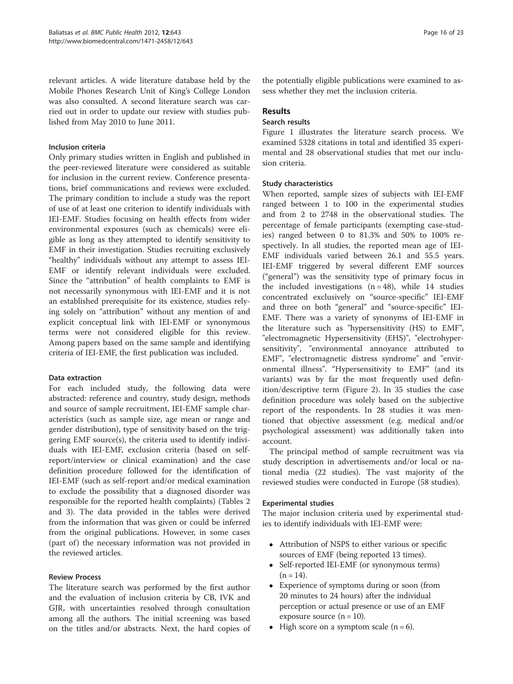relevant articles. A wide literature database held by the Mobile Phones Research Unit of King's College London was also consulted. A second literature search was carried out in order to update our review with studies published from May 2010 to June 2011.

#### Inclusion criteria

Only primary studies written in English and published in the peer-reviewed literature were considered as suitable for inclusion in the current review. Conference presentations, brief communications and reviews were excluded. The primary condition to include a study was the report of use of at least one criterion to identify individuals with IEI-EMF. Studies focusing on health effects from wider environmental exposures (such as chemicals) were eligible as long as they attempted to identify sensitivity to EMF in their investigation. Studies recruiting exclusively "healthy" individuals without any attempt to assess IEI-EMF or identify relevant individuals were excluded. Since the "attribution" of health complaints to EMF is not necessarily synonymous with IEI-EMF and it is not an established prerequisite for its existence, studies relying solely on "attribution" without any mention of and explicit conceptual link with IEI-EMF or synonymous terms were not considered eligible for this review. Among papers based on the same sample and identifying criteria of IEI-EMF, the first publication was included.

#### Data extraction

For each included study, the following data were abstracted: reference and country, study design, methods and source of sample recruitment, IEI-EMF sample characteristics (such as sample size, age mean or range and gender distribution), type of sensitivity based on the triggering EMF source(s), the criteria used to identify individuals with IEI-EMF, exclusion criteria (based on selfreport/interview or clinical examination) and the case definition procedure followed for the identification of IEI-EMF (such as self-report and/or medical examination to exclude the possibility that a diagnosed disorder was responsible for the reported health complaints) (Tables [2](#page-2-0) and [3\)](#page-9-0). The data provided in the tables were derived from the information that was given or could be inferred from the original publications. However, in some cases (part of) the necessary information was not provided in the reviewed articles.

#### Review Process

The literature search was performed by the first author and the evaluation of inclusion criteria by CB, IVK and GJR, with uncertainties resolved through consultation among all the authors. The initial screening was based on the titles and/or abstracts. Next, the hard copies of the potentially eligible publications were examined to assess whether they met the inclusion criteria.

#### Results

#### Search results

Figure [1](#page-16-0) illustrates the literature search process. We examined 5328 citations in total and identified 35 experimental and 28 observational studies that met our inclusion criteria.

#### Study characteristics

When reported, sample sizes of subjects with IEI-EMF ranged between 1 to 100 in the experimental studies and from 2 to 2748 in the observational studies. The percentage of female participants (exempting case-studies) ranged between 0 to 81.3% and 50% to 100% respectively. In all studies, the reported mean age of IEI-EMF individuals varied between 26.1 and 55.5 years. IEI-EMF triggered by several different EMF sources ("general") was the sensitivity type of primary focus in the included investigations  $(n = 48)$ , while 14 studies concentrated exclusively on "source-specific" IEI-EMF and three on both "general" and "source-specific" IEI-EMF. There was a variety of synonyms of IEI-EMF in the literature such as "hypersensitivity (HS) to EMF", "electromagnetic Hypersensitivity (EHS)", "electrohypersensitivity", "environmental annoyance attributed to EMF", "electromagnetic distress syndrome" and "environmental illness". "Hypersensitivity to EMF" (and its variants) was by far the most frequently used definition/descriptive term (Figure [2](#page-17-0)). In 35 studies the case definition procedure was solely based on the subjective report of the respondents. In 28 studies it was mentioned that objective assessment (e.g. medical and/or psychological assessment) was additionally taken into account.

The principal method of sample recruitment was via study description in advertisements and/or local or national media (22 studies). The vast majority of the reviewed studies were conducted in Europe (58 studies).

#### Experimental studies

The major inclusion criteria used by experimental studies to identify individuals with IEI-EMF were:

- Attribution of NSPS to either various or specific sources of EMF (being reported 13 times).
- Self-reported IEI-EMF (or synonymous terms)  $(n = 14)$ .
- Experience of symptoms during or soon (from 20 minutes to 24 hours) after the individual perception or actual presence or use of an EMF exposure source  $(n = 10)$ .
- $\bullet$  High score on a symptom scale (n = 6).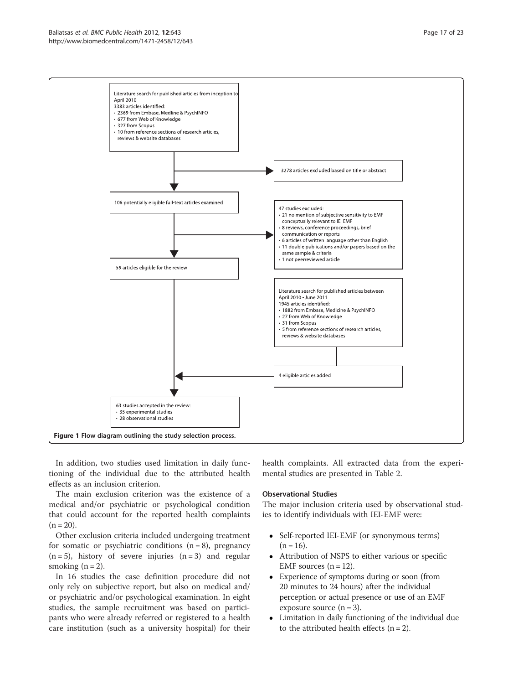#### <span id="page-16-0"></span>Baliatsas et al. BMC Public Health 2012, 12:643 Page 17 of 23 http://www.biomedcentral.com/1471-2458/12/643



In addition, two studies used limitation in daily functioning of the individual due to the attributed health effects as an inclusion criterion.

The main exclusion criterion was the existence of a medical and/or psychiatric or psychological condition that could account for the reported health complaints  $(n = 20)$ .

Other exclusion criteria included undergoing treatment for somatic or psychiatric conditions  $(n = 8)$ , pregnancy  $(n=5)$ , history of severe injuries  $(n=3)$  and regular smoking  $(n = 2)$ .

In 16 studies the case definition procedure did not only rely on subjective report, but also on medical and/ or psychiatric and/or psychological examination. In eight studies, the sample recruitment was based on participants who were already referred or registered to a health care institution (such as a university hospital) for their health complaints. All extracted data from the experimental studies are presented in Table [2.](#page-2-0)

#### Observational Studies

The major inclusion criteria used by observational studies to identify individuals with IEI-EMF were:

- Self-reported IEI-EMF (or synonymous terms)  $(n = 16)$ .
- Attribution of NSPS to either various or specific EMF sources  $(n = 12)$ .
- Experience of symptoms during or soon (from 20 minutes to 24 hours) after the individual perception or actual presence or use of an EMF exposure source  $(n = 3)$ .
- Limitation in daily functioning of the individual due to the attributed health effects  $(n = 2)$ .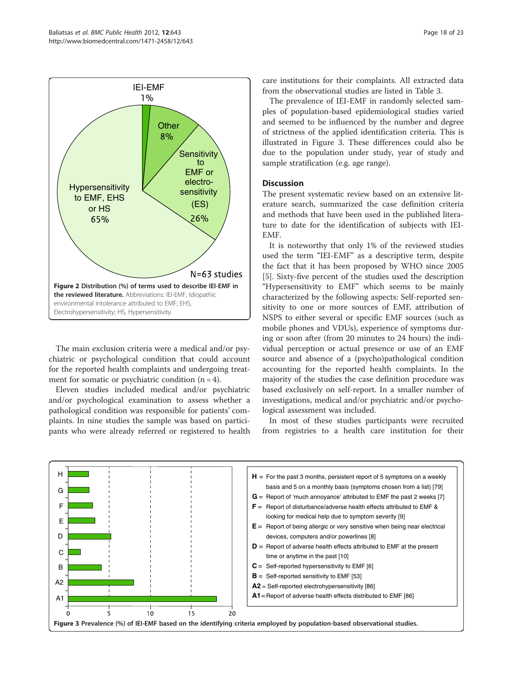<span id="page-17-0"></span>

The main exclusion criteria were a medical and/or psychiatric or psychological condition that could account for the reported health complaints and undergoing treatment for somatic or psychiatric condition  $(n = 4)$ .

Eleven studies included medical and/or psychiatric and/or psychological examination to assess whether a pathological condition was responsible for patients' complaints. In nine studies the sample was based on participants who were already referred or registered to health care institutions for their complaints. All extracted data from the observational studies are listed in Table [3.](#page-9-0)

The prevalence of IEI-EMF in randomly selected samples of population-based epidemiological studies varied and seemed to be influenced by the number and degree of strictness of the applied identification criteria. This is illustrated in Figure 3. These differences could also be due to the population under study, year of study and sample stratification (e.g. age range).

#### **Discussion**

The present systematic review based on an extensive literature search, summarized the case definition criteria and methods that have been used in the published literature to date for the identification of subjects with IEI-EMF.

It is noteworthy that only 1% of the reviewed studies used the term "IEI-EMF" as a descriptive term, despite the fact that it has been proposed by WHO since 2005 [[5\]](#page-20-0). Sixty-five percent of the studies used the description "Hypersensitivity to EMF" which seems to be mainly characterized by the following aspects: Self-reported sensitivity to one or more sources of EMF, attribution of NSPS to either several or specific EMF sources (such as mobile phones and VDUs), experience of symptoms during or soon after (from 20 minutes to 24 hours) the individual perception or actual presence or use of an EMF source and absence of a (psycho)pathological condition accounting for the reported health complaints. In the majority of the studies the case definition procedure was based exclusively on self-report. In a smaller number of investigations, medical and/or psychiatric and/or psychological assessment was included.

In most of these studies participants were recruited from registries to a health care institution for their

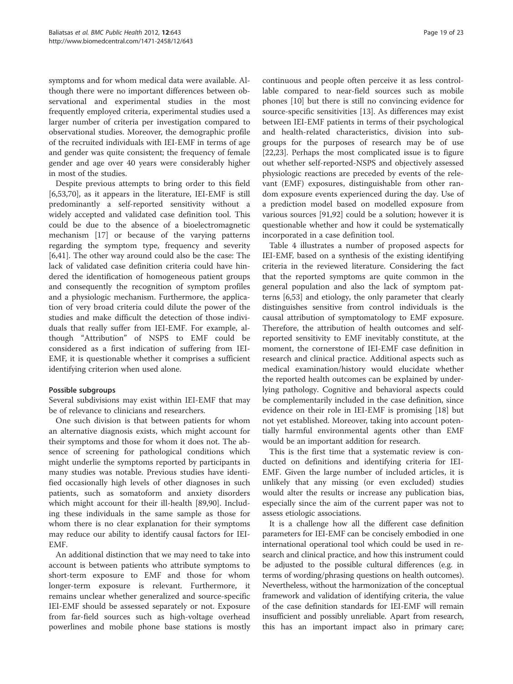symptoms and for whom medical data were available. Although there were no important differences between observational and experimental studies in the most frequently employed criteria, experimental studies used a larger number of criteria per investigation compared to observational studies. Moreover, the demographic profile of the recruited individuals with IEI-EMF in terms of age and gender was quite consistent; the frequency of female gender and age over 40 years were considerably higher in most of the studies.

Despite previous attempts to bring order to this field [[6,](#page-20-0)[53,70](#page-21-0)], as it appears in the literature, IEI-EMF is still predominantly a self-reported sensitivity without a widely accepted and validated case definition tool. This could be due to the absence of a bioelectromagnetic mechanism [\[17\]](#page-20-0) or because of the varying patterns regarding the symptom type, frequency and severity [[6,](#page-20-0)[41\]](#page-21-0). The other way around could also be the case: The lack of validated case definition criteria could have hindered the identification of homogeneous patient groups and consequently the recognition of symptom profiles and a physiologic mechanism. Furthermore, the application of very broad criteria could dilute the power of the studies and make difficult the detection of those individuals that really suffer from IEI-EMF. For example, although "Attribution" of NSPS to EMF could be considered as a first indication of suffering from IEI-EMF, it is questionable whether it comprises a sufficient identifying criterion when used alone.

#### Possible subgroups

Several subdivisions may exist within IEI-EMF that may be of relevance to clinicians and researchers.

One such division is that between patients for whom an alternative diagnosis exists, which might account for their symptoms and those for whom it does not. The absence of screening for pathological conditions which might underlie the symptoms reported by participants in many studies was notable. Previous studies have identified occasionally high levels of other diagnoses in such patients, such as somatoform and anxiety disorders which might account for their ill-health [\[89,90\]](#page-22-0). Including these individuals in the same sample as those for whom there is no clear explanation for their symptoms may reduce our ability to identify causal factors for IEI-EMF.

An additional distinction that we may need to take into account is between patients who attribute symptoms to short-term exposure to EMF and those for whom longer-term exposure is relevant. Furthermore, it remains unclear whether generalized and source-specific IEI-EMF should be assessed separately or not. Exposure from far-field sources such as high-voltage overhead powerlines and mobile phone base stations is mostly

continuous and people often perceive it as less controllable compared to near-field sources such as mobile phones [\[10](#page-20-0)] but there is still no convincing evidence for source-specific sensitivities [[13\]](#page-20-0). As differences may exist between IEI-EMF patients in terms of their psychological and health-related characteristics, division into subgroups for the purposes of research may be of use [[22,23\]](#page-20-0). Perhaps the most complicated issue is to figure out whether self-reported-NSPS and objectively assessed physiologic reactions are preceded by events of the relevant (EMF) exposures, distinguishable from other random exposure events experienced during the day. Use of a prediction model based on modelled exposure from various sources [[91,92](#page-22-0)] could be a solution; however it is questionable whether and how it could be systematically incorporated in a case definition tool.

Table [4](#page-19-0) illustrates a number of proposed aspects for IEI-EMF, based on a synthesis of the existing identifying criteria in the reviewed literature. Considering the fact that the reported symptoms are quite common in the general population and also the lack of symptom patterns [[6,](#page-20-0)[53](#page-21-0)] and etiology, the only parameter that clearly distinguishes sensitive from control individuals is the causal attribution of symptomatology to EMF exposure. Therefore, the attribution of health outcomes and selfreported sensitivity to EMF inevitably constitute, at the moment, the cornerstone of IEI-EMF case definition in research and clinical practice. Additional aspects such as medical examination/history would elucidate whether the reported health outcomes can be explained by underlying pathology. Cognitive and behavioral aspects could be complementarily included in the case definition, since evidence on their role in IEI-EMF is promising [\[18](#page-20-0)] but not yet established. Moreover, taking into account potentially harmful environmental agents other than EMF would be an important addition for research.

This is the first time that a systematic review is conducted on definitions and identifying criteria for IEI-EMF. Given the large number of included articles, it is unlikely that any missing (or even excluded) studies would alter the results or increase any publication bias, especially since the aim of the current paper was not to assess etiologic associations.

It is a challenge how all the different case definition parameters for IEI-EMF can be concisely embodied in one international operational tool which could be used in research and clinical practice, and how this instrument could be adjusted to the possible cultural differences (e.g. in terms of wording/phrasing questions on health outcomes). Nevertheless, without the harmonization of the conceptual framework and validation of identifying criteria, the value of the case definition standards for IEI-EMF will remain insufficient and possibly unreliable. Apart from research, this has an important impact also in primary care;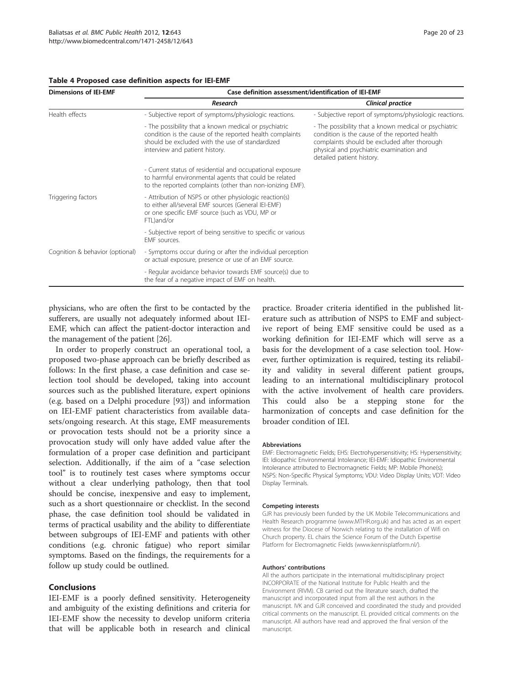<span id="page-19-0"></span>

| <b>Dimensions of IEI-EMF</b>    | Case definition assessment/identification of IEI-EMF                                                                                                                                                   |                                                                                                                                                                                                                                 |  |  |  |  |  |
|---------------------------------|--------------------------------------------------------------------------------------------------------------------------------------------------------------------------------------------------------|---------------------------------------------------------------------------------------------------------------------------------------------------------------------------------------------------------------------------------|--|--|--|--|--|
|                                 | Research                                                                                                                                                                                               | <b>Clinical practice</b>                                                                                                                                                                                                        |  |  |  |  |  |
| Health effects                  | - Subjective report of symptoms/physiologic reactions.                                                                                                                                                 | - Subjective report of symptoms/physiologic reactions.                                                                                                                                                                          |  |  |  |  |  |
|                                 | - The possibility that a known medical or psychiatric<br>condition is the cause of the reported health complaints<br>should be excluded with the use of standardized<br>interview and patient history. | - The possibility that a known medical or psychiatric<br>condition is the cause of the reported health<br>complaints should be excluded after thorough<br>physical and psychiatric examination and<br>detailed patient history. |  |  |  |  |  |
|                                 | - Current status of residential and occupational exposure<br>to harmful environmental agents that could be related<br>to the reported complaints (other than non-ionizing EMF).                        |                                                                                                                                                                                                                                 |  |  |  |  |  |
| Triggering factors              | - Attribution of NSPS or other physiologic reaction(s)<br>to either all/several EMF sources (General IEI-EMF)<br>or one specific EMF source (such as VDU, MP or<br>FTL)and/or                          |                                                                                                                                                                                                                                 |  |  |  |  |  |
|                                 | - Subjective report of being sensitive to specific or various<br><b>FMF</b> sources.                                                                                                                   |                                                                                                                                                                                                                                 |  |  |  |  |  |
| Cognition & behavior (optional) | - Symptoms occur during or after the individual perception<br>or actual exposure, presence or use of an EMF source.                                                                                    |                                                                                                                                                                                                                                 |  |  |  |  |  |
|                                 | - Regular avoidance behavior towards EMF source(s) due to<br>the fear of a negative impact of EMF on health.                                                                                           |                                                                                                                                                                                                                                 |  |  |  |  |  |

physicians, who are often the first to be contacted by the sufferers, are usually not adequately informed about IEI-EMF, which can affect the patient-doctor interaction and the management of the patient [[26](#page-20-0)].

In order to properly construct an operational tool, a proposed two-phase approach can be briefly described as follows: In the first phase, a case definition and case selection tool should be developed, taking into account sources such as the published literature, expert opinions (e.g. based on a Delphi procedure [\[93\]](#page-22-0)) and information on IEI-EMF patient characteristics from available datasets/ongoing research. At this stage, EMF measurements or provocation tests should not be a priority since a provocation study will only have added value after the formulation of a proper case definition and participant selection. Additionally, if the aim of a "case selection tool" is to routinely test cases where symptoms occur without a clear underlying pathology, then that tool should be concise, inexpensive and easy to implement, such as a short questionnaire or checklist. In the second phase, the case definition tool should be validated in terms of practical usability and the ability to differentiate between subgroups of IEI-EMF and patients with other conditions (e.g. chronic fatigue) who report similar symptoms. Based on the findings, the requirements for a follow up study could be outlined.

#### Conclusions

IEI-EMF is a poorly defined sensitivity. Heterogeneity and ambiguity of the existing definitions and criteria for IEI-EMF show the necessity to develop uniform criteria that will be applicable both in research and clinical

practice. Broader criteria identified in the published literature such as attribution of NSPS to EMF and subjective report of being EMF sensitive could be used as a working definition for IEI-EMF which will serve as a basis for the development of a case selection tool. However, further optimization is required, testing its reliability and validity in several different patient groups, leading to an international multidisciplinary protocol with the active involvement of health care providers. This could also be a stepping stone for the harmonization of concepts and case definition for the broader condition of IEI.

#### Abbreviations

EMF: Electromagnetic Fields; EHS: Electrohypersensitivity; HS: Hypersensitivity; IEI: Idiopathic Environmental Intolerance; IEI-EMF: Idiopathic Environmental Intolerance attributed to Electromagnetic Fields; MP: Mobile Phone(s); NSPS: Non-Specific Physical Symptoms; VDU: Video Display Units; VDT: Video Display Terminals.

#### Competing interests

GJR has previously been funded by the UK Mobile Telecommunications and Health Research programme (www.MTHR.org.uk) and has acted as an expert witness for the Diocese of Norwich relating to the installation of Wifi on Church property. EL chairs the Science Forum of the Dutch Expertise Platform for Electromagnetic Fields (www.kennisplatform.nl/).

#### Authors' contributions

All the authors participate in the international multidisciplinary project INCORPORATE of the National Institute for Public Health and the Environment (RIVM). CB carried out the literature search, drafted the manuscript and incorporated input from all the rest authors in the manuscript. IVK and GJR conceived and coordinated the study and provided critical comments on the manuscript. EL provided critical comments on the manuscript. All authors have read and approved the final version of the manuscript.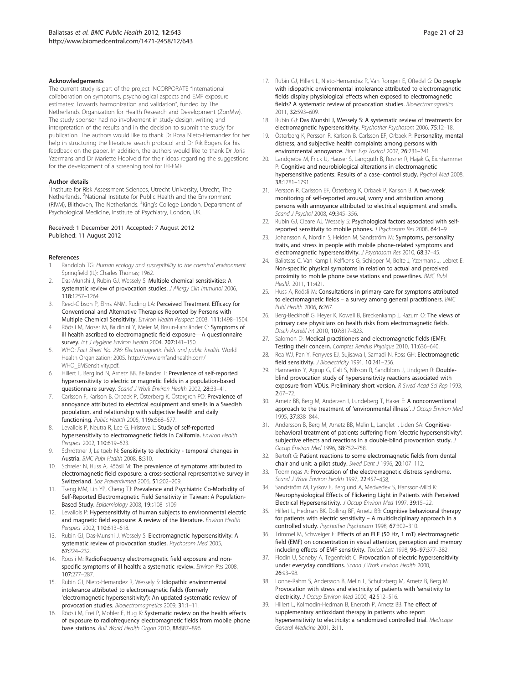#### <span id="page-20-0"></span>Acknowledgements

The current study is part of the project INCORPORATE "International collaboration on symptoms, psychological aspects and EMF exposure estimates: Towards harmonization and validation", funded by The Netherlands Organization for Health Research and Development (ZonMw). The study sponsor had no involvement in study design, writing and interpretation of the results and in the decision to submit the study for publication. The authors would like to thank Dr Rosa Nieto-Hernandez for her help in structuring the literature search protocol and Dr Rik Bogers for his feedback on the paper. In addition, the authors would like to thank Dr Joris Yzermans and Dr Mariette Hooiveld for their ideas regarding the suggestions for the development of a screening tool for IEI-EMF.

#### Author details

<sup>1</sup>Institute for Risk Assessment Sciences, Utrecht University, Utrecht, The Netherlands. <sup>2</sup>National Institute for Public Health and the Environment (RIVM), Bilthoven, The Netherlands. <sup>3</sup>King's College London, Department of Psychological Medicine, Institute of Psychiatry, London, UK.

#### Received: 1 December 2011 Accepted: 7 August 2012 Published: 11 August 2012

#### References

- 1. Randolph TG: Human ecology and susceptibility to the chemical environment. Springfield (IL): Charles Thomas; 1962.
- 2. Das-Munshi J, Rubin GJ, Wessely S: Multiple chemical sensitivities: A systematic review of provocation studies. J Allergy Clin Immunol 2006, 118:1257–1264.
- 3. Reed-Gibson P, Elms ANM, Ruding LA: Perceived Treatment Efficacy for Conventional and Alternative Therapies Reported by Persons with Multiple Chemical Sensitivity. Environ Health Perspect 2003, 111:1498–1504.
- 4. Röösli M, Moser M, Baldinini Y, Meier M, Braun-Fahrländer C: Symptoms of ill health ascribed to electromagnetic field exposure—A questionnaire survey. Int J Hygiene Environ Health 2004, 207:141-150.
- 5. WHO: Fact Sheet No. 296: Electromagnetic fields and public health. World Health Organization; 2005. [http://www.emfandhealth.com/](http://www.emfandhealth.com/WHO_EMSensitivity.pdf) [WHO\\_EMSensitivity.pdf.](http://www.emfandhealth.com/WHO_EMSensitivity.pdf)
- 6. Hillert L, Berglind N, Arnetz BB, Bellander T: Prevalence of self-reported hypersensitivity to electric or magnetic fields in a population-based questionnaire survey. Scand J Work Environ Health 2002, 28:33–41.
- Carlsson F, Karlson B, Orbaek P, Österberg K, Östergren PO: Prevalence of annoyance attributed to electrical equipment and smells in a Swedish population, and relationship with subjective health and daily functioning. Public Health 2005, 119x:568–577.
- 8. Levallois P, Neutra R, Lee G, Hristova L: Study of self-reported hypersensitivity to electromagnetic fields in California. Environ Health Perspect 2002, 110:619–623.
- Schröttner J, Leitgeb N: Sensitivity to electricity temporal changes in Austria. BMC Publ Health 2008, 8:310.
- 10. Schreier N, Huss A, Röösli M: The prevalence of symptoms attributed to electromagnetic field exposure: a cross-sectional representative survey in Switzerland. Soz Praventivmed 2006, 51:202–209.
- 11. Tseng MM, Lin YP, Cheng TJ: Prevalence and Psychiatric Co-Morbidity of Self-Reported Electromagnetic Field Sensitivity in Taiwan: A Population-Based Study. Epidemiology 2008, 19:s108–s109.
- 12. Levallois P: Hypersensitivity of human subjects to environmental electric and magnetic field exposure: A review of the literature. Environ Health Perspect 2002, 110:613–618.
- 13. Rubin GJ, Das-Munshi J, Wessely S: Electromagnetic hypersensitivity: A systematic review of provocation studies. Psychosom Med 2005, 67:224–232.
- 14. Röösli M: Radiofrequency electromagnetic field exposure and nonspecific symptoms of ill health: a systematic review. Environ Res 2008, 107:277–287.
- 15. Rubin GJ, Nieto-Hernandez R, Wessely S: Idiopathic environmental intolerance attributed to electromagnetic fields (formerly 'electromagnetic hypersensitivity'): An updated systematic review of provocation studies. Bioelectromagnetics 2009, 31:1–11.
- 16. Röösli M, Frei P, Mohler E, Hug K: Systematic review on the health effects of exposure to radiofrequency electromagnetic fields from mobile phone base stations. Bull World Health Organ 2010, 88:887–896.
- 17. Rubin GJ, Hillert L, Nieto-Hernandez R, Van Rongen E, Oftedal G: Do people with idiopathic environmental intolerance attributed to electromagnetic fields display physiological effects when exposed to electromagnetic fields? A systematic review of provocation studies. Bioelectromagnetics 2011, 32:593–609.
- 18. Rubin GJ: Das Munshi J, Wessely S: A systematic review of treatments for electromagnetic hypersensitivity. Psychother Psychosom 2006, 75:12–18.
- 19. Österberg K, Persson R, Karlson B, Carlsson EF, Orbaek P: Personality, mental distress, and subjective health complaints among persons with environmental annoyance. Hum Exp Toxicol 2007, 26:231–241.
- 20. Landgrebe M, Frick U, Hauser S, Langguth B, Rosner R, Hajak G, Eichhammer P: Cognitive and neurobiological alterations in electromagnetic hypersensitive patients: Results of a case-control study. Psychol Med 2008, 38:1781–1791.
- 21. Persson R, Carlsson EF, Österberg K, Orbaek P, Karlson B: A two-week monitoring of self-reported arousal, worry and attribution among persons with annoyance attributed to electrical equipment and smells. Scand J Psychol 2008, 49:345-356.
- 22. Rubin GJ, Cleare AJ, Wessely S: Psychological factors associated with selfreported sensitivity to mobile phones. J Psychosom Res 2008, 64:1–9.
- 23. Johansson A, Nordin S, Heiden M, Sandström M: Symptoms, personality traits, and stress in people with mobile phone-related symptoms and electromagnetic hypersensitivity. J Psychosom Res 2010, 68:37-45.
- 24. Baliatsas C, Van Kamp I, Kelfkens G, Schipper M, Bolte J, Yzermans J, Lebret E: Non-specific physical symptoms in relation to actual and perceived proximity to mobile phone base stations and powerlines. BMC Publ Health 2011, 11:421.
- 25. Huss A, Röösli M: Consultations in primary care for symptoms attributed to electromagnetic fields – a survey among general practitioners. BMC Publ Health 2006, 6:267.
- 26. Berg-Beckhoff G, Heyer K, Kowall B, Breckenkamp J, Razum O: The views of primary care physicians on health risks from electromagnetic fields. Dtsch Arztebl Int 2010, 107:817–823.
- 27. Salomon D: Medical practitioners and electromagnetic fields (EMF): Testing their concern. Comptes Rendus Physique 2010, 11:636–640.
- 28. Rea WJ, Pan Y, Fenyves EJ, Sujisawa I, Samadi N, Ross GH: Electromagnetic field sensitivity. J Bioelectricity 1991, 10:241-256.
- 29. Hamnerius Y, Agrup G, Galt S, Nilsson R, Sandblom J, Lindgren R: Doubleblind provocation study of hypersensitivity reactions associated with exposure from VDUs. Preliminary short version. R Swed Acad Sci Rep 1993, 2:67–72.
- 30. Arnetz BB, Berg M, Anderzen I, Lundeberg T, Haker E: A nonconventional approach to the treatment of 'environmental illness'. J Occup Environ Med 1995, 37:838–844.
- 31. Andersson B, Berg M, Arnetz BB, Melin L, Langlet I, Liden SA: Cognitivebehavioral treatment of patients suffering from 'electric hypersensitivity': subjective effects and reactions in a double-blind provocation study. J Occup Environ Med 1996, 38:752–758.
- 32. Bertoft G: Patient reactions to some electromagnetic fields from dental chair and unit: a pilot study. Swed Dent J 1996, 20:107-112.
- 33. Toomingas A: Provocation of the electromagnetic distress syndrome. Scand J Work Environ Health 1997, 22:457–458.
- 34. Sandström M, Lyskov E, Berglund A, Medvedev S, Hansson-Mild K: Neurophysiological Effects of Flickering Light in Patients with Perceived Electrical Hypersensitivity. J Occup Environ Med 1997, 39:15–22.
- Hillert L, Hedman BK, Dolling BF, Arnetz BB: Cognitive behavioural therapy for patients with electric sensitivity – A multidisciplinary approach in a controlled study. Psychother Psychosom 1998, 67:302–310.
- 36. Trimmel M, Schweiger E: Effects of an ELF (50 Hz, 1 mT) electromagnetic field (EMF) on concentration in visual attention, perception and memory including effects of EMF sensitivity. Toxicol Lett 1998, 96–97:377–382.
- 37. Flodin U, Seneby A, Tegenfeldt C: Provocation of electric hypersensitivity under everyday conditions. Scand J Work Environ Health 2000, 26:93–98.
- 38. Lonne-Rahm S, Andersson B, Melin L, Schultzberg M, Arnetz B, Berg M: Provocation with stress and electricity of patients with 'sensitivity to electricity. J Occup Environ Med 2000, 42:512–516.
- 39. Hillert L, Kolmodin-Hedman B, Eneroth P, Arnetz BB: The effect of supplementary antioxidant therapy in patients who report hypersensitivity to electricity: a randomized controlled trial. Medscape General Medicine 2001, 3:11.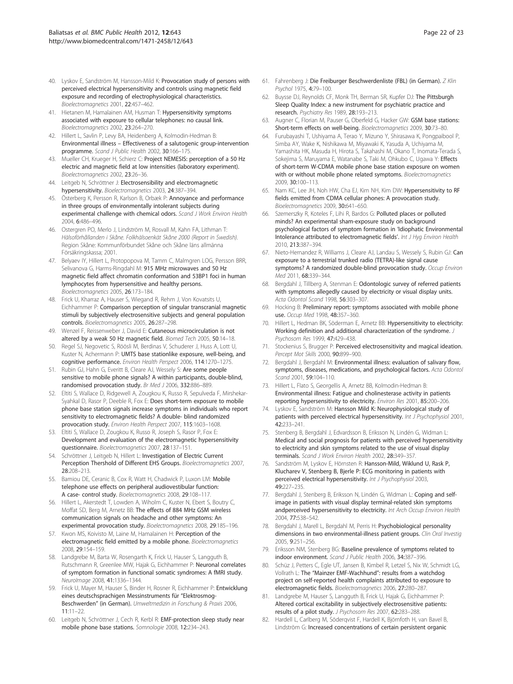- <span id="page-21-0"></span>40. Lyskov E, Sandström M, Hansson-Mild K: Provocation study of persons with perceived electrical hypersensitivity and controls using magnetic field exposure and recording of electrophysiological characteristics. Bioelectromagnetics 2001, 22:457–462.
- 41. Hietanen M, Hamalainen AM, Husman T: Hypersensitivity symptoms associated with exposure to cellular telephones: no causal link. Bioelectromagnetics 2002, 23:264–270.
- 42. Hillert L, Savlin P, Levy BA, Heidenberg A, Kolmodin-Hedman B: Environmental illness – Effectiveness of a salutogenic group-intervention programme. Scand J Public Health 2002, 30:166–175.
- 43. Mueller CH, Krueger H, Schierz C: Project NEMESIS: perception of a 50 Hz electric and magnetic field at low intensities (laboratory experiment). Bioelectromagnetics 2002, 23:26–36.
- 44. Leitgeb N, Schröttner J: Electrosensibility and electromagnetic hypersensitivity. Bioelectromagnetics 2003, 24:387–394.
- 45. Österberg K, Persson R, Karlson B, Orbæk P: Annoyance and performance in three groups of environmentally intolerant subjects during experimental challenge with chemical odors. Scand J Work Environ Health 2004, 6:486–496.
- 46. Ostergren PO, Merlo J, Lindström M, Rosvall M, Kahn FA, Lithman T: Hälsoförhållanden i Skåne. Folkhälsoenkät Skåne 2000 (Report in Swedish). Region Skåne: Kommunförbundet Skåne och Skåne läns allmänna Försäkringskassa; 2001.
- 47. Belyaev IY, Hillert L, Protopopova M, Tamm C, Malmgren LOG, Persson BRR, Selivanova G, Harms-Ringdahl M: 915 MHz microwaves and 50 Hz magnetic field affect chromatin conformation and 53BP1 foci in human lymphocytes from hypersensitive and healthy persons. Bioelectromagnetics 2005, 26:173–184.
- 48. Frick U, Kharraz A, Hauser S, Wiegand R, Rehm J, Von Kovatsits U, Eichhammer P: Comparison perception of singular transcranial magnetic stimuli by subjectively electrosensitive subjects and general population controls. Bioelectromagnetics 2005, 26:287–298.
- 49. Wenzel F, Reissenweber J, David E: Cutaneous microcirculation is not altered by a weak 50 Hz magnetic field. Biomed Tech 2005, 50:14–18.
- 50. Regel SJ, Negovetic S, Röösli M, Berdinas V, Schuderer J, Huss A, Lott U, Kuster N, Achermann P: UMTS base stationlike exposure, well-being, and cognitive performance. Environ Health Perspect 2006, 114:1270–1275.
- 51. Rubin GJ, Hahn G, Everitt B, Cleare AJ, Wessely S: Are some people sensitive to mobile phone signals? A within participants, double-blind, randomised provocation study. Br Med J 2006, 332:886–889.
- 52. Eltiti S, Wallace D, Ridgewell A, Zougkou K, Russo R, Sepulveda F, Mirshekar-Syahkal D, Rasor P, Deeble R, Fox E: Does short-term exposure to mobile phone base station signals increase symptoms in individuals who report sensitivity to electromagnetic fields? A double- blind randomized provocation study. Environ Health Perspect 2007, 115:1603–1608.
- 53. Eltiti S, Wallace D, Zougkou K, Russo R, Joseph S, Rasor P, Fox E: Development and evaluation of the electromagnetic hypersensitivity questionnaire. Bioelectromagnetics 2007, 28:137–151.
- 54. Schröttner J, Leitgeb N, Hillert L: Investigation of Electric Current Perception Thershold of Different EHS Groups. Bioelectromagnetics 2007, 28:208–213.
- 55. Bamiou DE, Ceranic B, Cox R, Watt H, Chadwick P, Luxon LM: Mobile telephone use effects on peripheral audiovestibular function: A case- control study. Bioelectromagnetics 2008, 29:108–117.
- 56. Hillert L, Akerstedt T, Lowden A, Wiholm C, Kuster N, Ebert S, Boutry C, Moffat SD, Berg M, Arnetz BB: The effects of 884 MHz GSM wireless communication signals on headache and other symptoms: An experimental provocation study. Bioelectromagnetics 2008, 29:185–196.
- 57. Kwon MS, Koivisto M, Laine M, Hamalainen H: Perception of the electromagnetic field emitted by a mobile phone. Bioelectromagnetics 2008, 29:154–159.
- 58. Landgrebe M, Barta W, Rosengarth K, Frick U, Hauser S, Langguth B, Rutschmann R, Greenlee MW, Hajak G, Eichhammer P: Neuronal correlates of symptom formation in functional somatic syndromes: A fMRI study. NeuroImage 2008, 41:1336–1344.
- 59. Frick U, Mayer M, Hauser S, Binder H, Rosner R, Eichhammer P: Entwicklung eines deutschsprachigen Messinstruments für "Elektrosmog-Beschwerden" (in German). Umweltmedizin in Forschung & Praxis 2006, 11:11–22.
- 60. Leitgeb N, Schröttner J, Cech R, Kerbl R: EMF-protection sleep study near mobile phone base stations. Somnologie 2008, 12:234–243.
- 61. Fahrenberg J: Die Freiburger Beschwerdenliste (FBL) (in German). Z Klin Psychol 1975, 4:79–100.
- 62. Buysse DJ, Reynolds CF, Monk TH, Berman SR, Kupfer DJ: The Pittsburgh Sleep Quality Index: a new instrument for psychiatric practice and research. Psychiatry Res 1989, 28:193–213.
- 63. Augner C, Florian M, Pauser G, Oberfeld G, Hacker GW: GSM base stations: Short-term effects on well-being. Bioelectromagnetics 2009, 30:73–80.
- 64. Furubayashi T, Ushiyama A, Terao Y, Mizuno Y, Shirasawa K, Pongpaibool P, Simba AY, Wake K, Nishikawa M, Miyawaki K, Yasuda A, Uchiyama M, Yamashita HK, Masuda H, Hirota S, Takahashi M, Okano T, Inomata-Terada S, Sokejima S, Maruyama E, Watanabe S, Taki M, Ohkubo C, Ugawa Y: Effects of short-term W-CDMA mobile phone base station exposure on women with or without mobile phone related symptoms. Bioelectromagnetics 2009, 30:100–113.
- 65. Nam KC, Lee JH, Noh HW, Cha EJ, Kim NH, Kim DW: Hypersensitivity to RF fields emitted from CDMA cellular phones: A provocation study. Bioelectromagnetics 2009, 30:641–650.
- 66. Szemerszky R, Koteles F, Lihi R, Bardos G: Polluted places or polluted minds? An experimental sham-exposure study on background psychological factors of symptom formation in 'Idiophatic Environmental Intolerance attributed to electromagnetic fields'. Int J Hyg Environ Health 2010, 213:387–394.
- 67. Nieto-Hernandez R, Williams J, Cleare AJ, Landau S, Wessely S, Rubin GJ: Can exposure to a terrestrial trunked radio (TETRA)-like signal cause symptoms? A randomized double-blind provocation study. Occup Environ Med 2011, 68:339–344.
- 68. Bergdahl J, Tillberg A, Stenman E: Odontologic survey of referred patients with symptoms allegedly caused by electricity or visual display units. Acta Odontol Scand 1998, 56:303–307.
- 69. Hocking B: Preliminary report: symptoms associated with mobile phone use. Occup Med 1998, 48:357–360.
- 70. Hillert L, Hedman BK, Söderman E, Arnetz BB: Hypersensitivity to electricity: Working definition and additional characterization of the syndrome. J Psychosom Res 1999, 47:429–438.
- 71. Stockenius S, Brugger P: Perceived electrosensitivity and magical ideation. Percept Mot Skills 2000, 90:899–900.
- 72. Bergdahl J, Bergdahl M: Environmental illness: evaluation of salivary flow, symptoms, diseases, medications, and psychological factors. Acta Odontol Scand 2001, 59:104–110.
- 73. Hillert L, Flato S, Georgellis A, Arnetz BB, Kolmodin-Hedman B: Environmental illness: Fatigue and cholinesterase activity in patients reporting hypersensitivity to electricity. Environ Res 2001, 85:200–206.
- 74. Lyskov E, Sandström M: Hansson Mild K: Neurophysiological study of patients with perceived electrical hypersensitivity. Int J Psychophysiol 2001, 42:233–241.
- 75. Stenberg B, Bergdahl J, Edvardsson B, Eriksson N, Lindén G, Widman L: Medical and social prognosis for patients with perceived hypersensitivity to electricity and skin symptoms related to the use of visual display terminals. Scand J Work Environ Health 2002, 28:349-357
- 76. Sandström M, Lyskov E, Hörnsten R: Hansson-Mild, Wiklund U, Rask P, Klucharev V, Stenberg B, Bjerle P: ECG monitoring in patients with perceived electrical hypersensitivity. Int J Psychophysiol 2003, 49:227–235.
- 77. Bergdahl J, Stenberg B, Eriksson N, Lindén G, Widman L: Coping and selfimage in patients with visual display terminal-related skin symptoms andperceived hypersensitivity to electricity. Int Arch Occup Environ Health 2004, 77:538–542.
- 78. Bergdahl J, Marell L, Bergdahl M, Perris H: Psychobiological personality dimensions in two environmental-illness patient groups. Clin Oral Investig 2005, 9:251–256.
- 79. Eriksson NM, Stenberg BG: Baseline prevalence of symptoms related to indoor environment. Scand J Public Health 2006, 34:387–396.
- Schüz J, Petters C, Egle UT, Jansen B, Kimbel R, Letzel S, Nix W, Schmidt LG, Vollrath L: The "Mainzer EMF-Wachhund": results from a watchdog project on self-reported health complaints attributed to exposure to electromagnetic fields. Bioelectromagnetics 2006, 27:280–287.
- 81. Landgrebe M, Hauser S, Langguth B, Frick U, Hajak G, Eichhammer P: Altered cortical excitability in subjectively electrosensitive patients: results of a pilot study. J Psychosom Res 2007, 62:283–288.
- 82. Hardell L, Carlberg M, Söderqvist F, Hardell K, Björnfoth H, van Bavel B, Lindström G: Increased concentrations of certain persistent organic